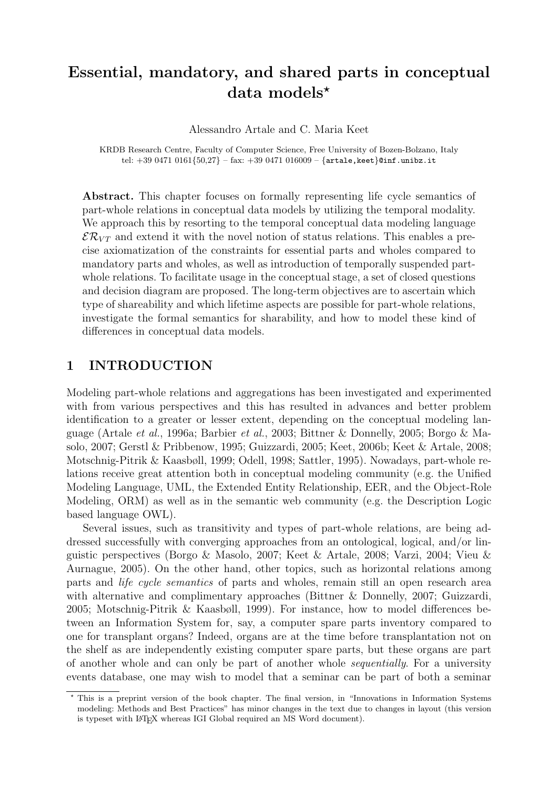# Essential, mandatory, and shared parts in conceptual data models\*

Alessandro Artale and C. Maria Keet

KRDB Research Centre, Faculty of Computer Science, Free University of Bozen-Bolzano, Italy tel:  $+39\;0471\;0161\{50.27\}$  – fax:  $+39\;0471\;016009$  – {artale, keet}@inf.unibz.it

Abstract. This chapter focuses on formally representing life cycle semantics of part-whole relations in conceptual data models by utilizing the temporal modality. We approach this by resorting to the temporal conceptual data modeling language  $\mathcal{ER}_{VT}$  and extend it with the novel notion of status relations. This enables a precise axiomatization of the constraints for essential parts and wholes compared to mandatory parts and wholes, as well as introduction of temporally suspended partwhole relations. To facilitate usage in the conceptual stage, a set of closed questions and decision diagram are proposed. The long-term objectives are to ascertain which type of shareability and which lifetime aspects are possible for part-whole relations, investigate the formal semantics for sharability, and how to model these kind of differences in conceptual data models.

### 1 INTRODUCTION

Modeling part-whole relations and aggregations has been investigated and experimented with from various perspectives and this has resulted in advances and better problem identification to a greater or lesser extent, depending on the conceptual modeling language (Artale et al., 1996a; Barbier et al., 2003; Bittner & Donnelly, 2005; Borgo & Masolo, 2007; Gerstl & Pribbenow, 1995; Guizzardi, 2005; Keet, 2006b; Keet & Artale, 2008; Motschnig-Pitrik & Kaasbøll, 1999; Odell, 1998; Sattler, 1995). Nowadays, part-whole relations receive great attention both in conceptual modeling community (e.g. the Unified Modeling Language, UML, the Extended Entity Relationship, EER, and the Object-Role Modeling, ORM) as well as in the semantic web community (e.g. the Description Logic based language OWL).

Several issues, such as transitivity and types of part-whole relations, are being addressed successfully with converging approaches from an ontological, logical, and/or linguistic perspectives (Borgo & Masolo, 2007; Keet & Artale, 2008; Varzi, 2004; Vieu & Aurnague, 2005). On the other hand, other topics, such as horizontal relations among parts and life cycle semantics of parts and wholes, remain still an open research area with alternative and complimentary approaches (Bittner & Donnelly, 2007; Guizzardi, 2005; Motschnig-Pitrik & Kaasbøll, 1999). For instance, how to model differences between an Information System for, say, a computer spare parts inventory compared to one for transplant organs? Indeed, organs are at the time before transplantation not on the shelf as are independently existing computer spare parts, but these organs are part of another whole and can only be part of another whole sequentially. For a university events database, one may wish to model that a seminar can be part of both a seminar

<sup>?</sup> This is a preprint version of the book chapter. The final version, in "Innovations in Information Systems modeling: Methods and Best Practices" has minor changes in the text due to changes in layout (this version is typeset with LAT<sub>EX</sub> whereas IGI Global required an MS Word document).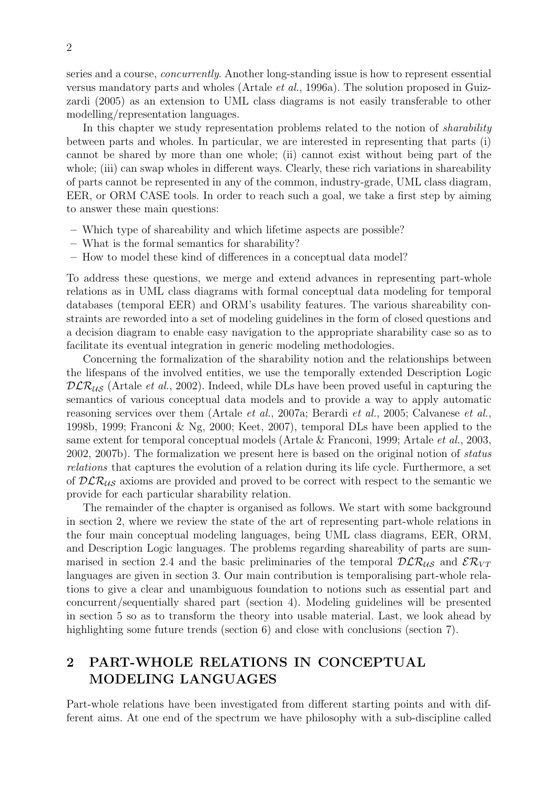series and a course, concurrently. Another long-standing issue is how to represent essential versus mandatory parts and wholes (Artale et al., 1996a). The solution proposed in Guizzardi (2005) as an extension to UML class diagrams is not easily transferable to other modelling/representation languages.

In this chapter we study representation problems related to the notion of *sharability* between parts and wholes. In particular, we are interested in representing that parts (i) cannot be shared by more than one whole; (ii) cannot exist without being part of the whole; (iii) can swap wholes in different ways. Clearly, these rich variations in shareability of parts cannot be represented in any of the common, industry-grade, UML class diagram, EER, or ORM CASE tools. In order to reach such a goal, we take a first step by aiming to answer these main questions:

- Which type of shareability and which lifetime aspects are possible?
- What is the formal semantics for sharability?
- How to model these kind of differences in a conceptual data model?

To address these questions, we merge and extend advances in representing part-whole relations as in UML class diagrams with formal conceptual data modeling for temporal databases (temporal EER) and ORM's usability features. The various shareability constraints are reworded into a set of modeling guidelines in the form of closed questions and a decision diagram to enable easy navigation to the appropriate sharability case so as to facilitate its eventual integration in generic modeling methodologies.

Concerning the formalization of the sharability notion and the relationships between the lifespans of the involved entities, we use the temporally extended Description Logic  $DLR_{US}$  (Artale *et al.*, 2002). Indeed, while DLs have been proved useful in capturing the semantics of various conceptual data models and to provide a way to apply automatic reasoning services over them (Artale et al., 2007a; Berardi et al., 2005; Calvanese et al., 1998b, 1999; Franconi & Ng, 2000; Keet, 2007), temporal DLs have been applied to the same extent for temporal conceptual models (Artale & Franconi, 1999; Artale et al., 2003, 2002, 2007b). The formalization we present here is based on the original notion of status relations that captures the evolution of a relation during its life cycle. Furthermore, a set of  $DLR_{US}$  axioms are provided and proved to be correct with respect to the semantic we provide for each particular sharability relation.

The remainder of the chapter is organised as follows. We start with some background in section 2, where we review the state of the art of representing part-whole relations in the four main conceptual modeling languages, being UML class diagrams, EER, ORM, and Description Logic languages. The problems regarding shareability of parts are summarised in section 2.4 and the basic preliminaries of the temporal  $DLR_{US}$  and  $\mathcal{ER}_{VT}$ languages are given in section 3. Our main contribution is temporalising part-whole relations to give a clear and unambiguous foundation to notions such as essential part and concurrent/sequentially shared part (section 4). Modeling guidelines will be presented in section 5 so as to transform the theory into usable material. Last, we look ahead by highlighting some future trends (section 6) and close with conclusions (section 7).

# 2 PART-WHOLE RELATIONS IN CONCEPTUAL MODELING LANGUAGES

Part-whole relations have been investigated from different starting points and with different aims. At one end of the spectrum we have philosophy with a sub-discipline called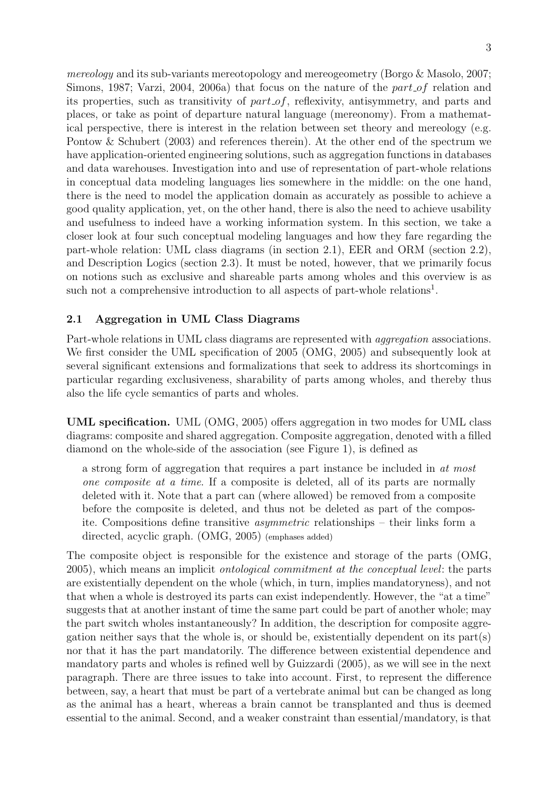mereology and its sub-variants mereotopology and mereogeometry (Borgo & Masolo, 2007; Simons, 1987; Varzi, 2004, 2006a) that focus on the nature of the part of relation and its properties, such as transitivity of  $part_of$ , reflexivity, antisymmetry, and parts and places, or take as point of departure natural language (mereonomy). From a mathematical perspective, there is interest in the relation between set theory and mereology (e.g. Pontow & Schubert (2003) and references therein). At the other end of the spectrum we have application-oriented engineering solutions, such as aggregation functions in databases and data warehouses. Investigation into and use of representation of part-whole relations in conceptual data modeling languages lies somewhere in the middle: on the one hand, there is the need to model the application domain as accurately as possible to achieve a good quality application, yet, on the other hand, there is also the need to achieve usability and usefulness to indeed have a working information system. In this section, we take a closer look at four such conceptual modeling languages and how they fare regarding the part-whole relation: UML class diagrams (in section 2.1), EER and ORM (section 2.2), and Description Logics (section 2.3). It must be noted, however, that we primarily focus on notions such as exclusive and shareable parts among wholes and this overview is as such not a comprehensive introduction to all aspects of part-whole relations<sup>1</sup>.

## 2.1 Aggregation in UML Class Diagrams

Part-whole relations in UML class diagrams are represented with aggregation associations. We first consider the UML specification of 2005 (OMG, 2005) and subsequently look at several significant extensions and formalizations that seek to address its shortcomings in particular regarding exclusiveness, sharability of parts among wholes, and thereby thus also the life cycle semantics of parts and wholes.

UML specification. UML (OMG, 2005) offers aggregation in two modes for UML class diagrams: composite and shared aggregation. Composite aggregation, denoted with a filled diamond on the whole-side of the association (see Figure 1), is defined as

a strong form of aggregation that requires a part instance be included in at most one composite at a time. If a composite is deleted, all of its parts are normally deleted with it. Note that a part can (where allowed) be removed from a composite before the composite is deleted, and thus not be deleted as part of the composite. Compositions define transitive asymmetric relationships – their links form a directed, acyclic graph. (OMG, 2005) (emphases added)

The composite object is responsible for the existence and storage of the parts (OMG, 2005), which means an implicit ontological commitment at the conceptual level: the parts are existentially dependent on the whole (which, in turn, implies mandatoryness), and not that when a whole is destroyed its parts can exist independently. However, the "at a time" suggests that at another instant of time the same part could be part of another whole; may the part switch wholes instantaneously? In addition, the description for composite aggregation neither says that the whole is, or should be, existentially dependent on its part(s) nor that it has the part mandatorily. The difference between existential dependence and mandatory parts and wholes is refined well by Guizzardi (2005), as we will see in the next paragraph. There are three issues to take into account. First, to represent the difference between, say, a heart that must be part of a vertebrate animal but can be changed as long as the animal has a heart, whereas a brain cannot be transplanted and thus is deemed essential to the animal. Second, and a weaker constraint than essential/mandatory, is that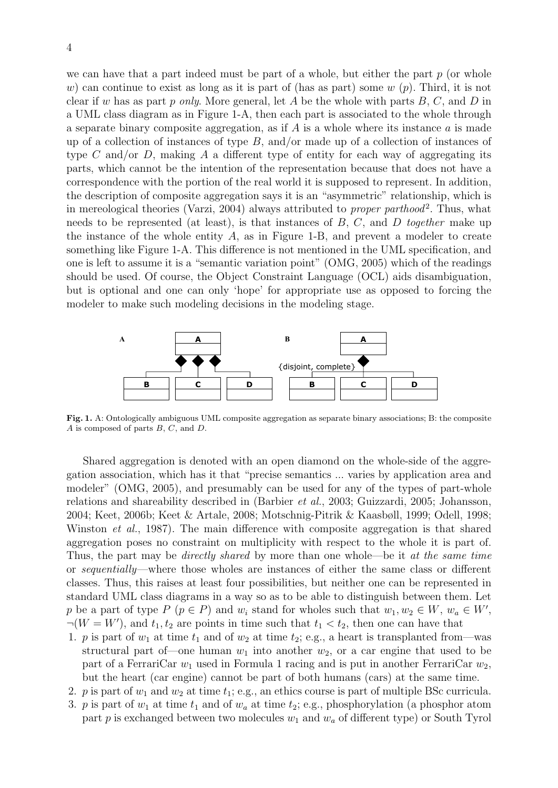we can have that a part indeed must be part of a whole, but either the part  $p$  (or whole w) can continue to exist as long as it is part of (has as part) some  $w(p)$ . Third, it is not clear if w has as part p only. More general, let A be the whole with parts  $B, C$ , and D in a UML class diagram as in Figure 1-A, then each part is associated to the whole through a separate binary composite aggregation, as if  $A$  is a whole where its instance  $a$  is made up of a collection of instances of type  $B$ , and/or made up of a collection of instances of type C and/or  $D$ , making A a different type of entity for each way of aggregating its parts, which cannot be the intention of the representation because that does not have a correspondence with the portion of the real world it is supposed to represent. In addition, the description of composite aggregation says it is an "asymmetric" relationship, which is in mereological theories (Varzi, 2004) always attributed to *proper parthood*<sup>2</sup>. Thus, what needs to be represented (at least), is that instances of  $B, C$ , and  $D$  together make up the instance of the whole entity  $A$ , as in Figure 1-B, and prevent a modeler to create something like Figure 1-A. This difference is not mentioned in the UML specification, and one is left to assume it is a "semantic variation point" (OMG, 2005) which of the readings should be used. Of course, the Object Constraint Language (OCL) aids disambiguation, but is optional and one can only 'hope' for appropriate use as opposed to forcing the modeler to make such modeling decisions in the modeling stage.



Fig. 1. A: Ontologically ambiguous UML composite aggregation as separate binary associations; B: the composite A is composed of parts B, C, and D.

Shared aggregation is denoted with an open diamond on the whole-side of the aggregation association, which has it that "precise semantics ... varies by application area and modeler" (OMG, 2005), and presumably can be used for any of the types of part-whole relations and shareability described in (Barbier et al., 2003; Guizzardi, 2005; Johansson, 2004; Keet, 2006b; Keet & Artale, 2008; Motschnig-Pitrik & Kaasbøll, 1999; Odell, 1998; Winston *et al.*, 1987). The main difference with composite aggregation is that shared aggregation poses no constraint on multiplicity with respect to the whole it is part of. Thus, the part may be *directly shared* by more than one whole—be it at the same time or sequentially—where those wholes are instances of either the same class or different classes. Thus, this raises at least four possibilities, but neither one can be represented in standard UML class diagrams in a way so as to be able to distinguish between them. Let p be a part of type  $P(p \in P)$  and  $w_i$  stand for wholes such that  $w_1, w_2 \in W$ ,  $w_a \in W'$ ,  $\neg(W = W')$ , and  $t_1, t_2$  are points in time such that  $t_1 < t_2$ , then one can have that

- 1. p is part of  $w_1$  at time  $t_1$  and of  $w_2$  at time  $t_2$ ; e.g., a heart is transplanted from—was structural part of—one human  $w_1$  into another  $w_2$ , or a car engine that used to be part of a FerrariCar  $w_1$  used in Formula 1 racing and is put in another FerrariCar  $w_2$ , but the heart (car engine) cannot be part of both humans (cars) at the same time.
- 2. p is part of  $w_1$  and  $w_2$  at time  $t_1$ ; e.g., an ethics course is part of multiple BSc curricula.
- 3. p is part of  $w_1$  at time  $t_1$  and of  $w_a$  at time  $t_2$ ; e.g., phosphorylation (a phosphor atom part p is exchanged between two molecules  $w_1$  and  $w_a$  of different type) or South Tyrol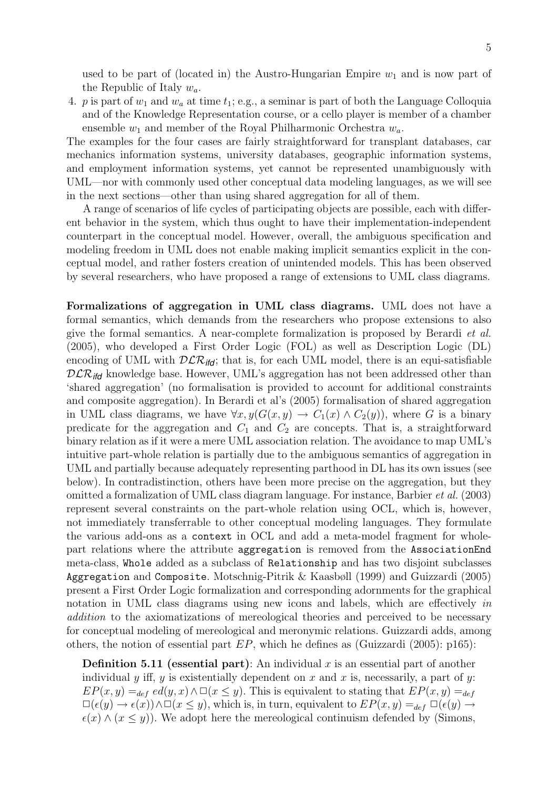used to be part of (located in) the Austro-Hungarian Empire  $w_1$  and is now part of the Republic of Italy  $w_a$ .

4. p is part of  $w_1$  and  $w_a$  at time  $t_1$ ; e.g., a seminar is part of both the Language Colloquia and of the Knowledge Representation course, or a cello player is member of a chamber ensemble  $w_1$  and member of the Royal Philharmonic Orchestra  $w_a$ .

The examples for the four cases are fairly straightforward for transplant databases, car mechanics information systems, university databases, geographic information systems, and employment information systems, yet cannot be represented unambiguously with UML—nor with commonly used other conceptual data modeling languages, as we will see in the next sections—other than using shared aggregation for all of them.

A range of scenarios of life cycles of participating objects are possible, each with different behavior in the system, which thus ought to have their implementation-independent counterpart in the conceptual model. However, overall, the ambiguous specification and modeling freedom in UML does not enable making implicit semantics explicit in the conceptual model, and rather fosters creation of unintended models. This has been observed by several researchers, who have proposed a range of extensions to UML class diagrams.

Formalizations of aggregation in UML class diagrams. UML does not have a formal semantics, which demands from the researchers who propose extensions to also give the formal semantics. A near-complete formalization is proposed by Berardi et al. (2005), who developed a First Order Logic (FOL) as well as Description Logic (DL) encoding of UML with  $D\mathcal{LR}_{\mathsf{iff}}$ ; that is, for each UML model, there is an equi-satisfiable DLR*ifd* knowledge base. However, UML's aggregation has not been addressed other than 'shared aggregation' (no formalisation is provided to account for additional constraints and composite aggregation). In Berardi et al's (2005) formalisation of shared aggregation in UML class diagrams, we have  $\forall x, y(G(x, y) \rightarrow C_1(x) \land C_2(y))$ , where G is a binary predicate for the aggregation and  $C_1$  and  $C_2$  are concepts. That is, a straightforward binary relation as if it were a mere UML association relation. The avoidance to map UML's intuitive part-whole relation is partially due to the ambiguous semantics of aggregation in UML and partially because adequately representing parthood in DL has its own issues (see below). In contradistinction, others have been more precise on the aggregation, but they omitted a formalization of UML class diagram language. For instance, Barbier et al. (2003) represent several constraints on the part-whole relation using OCL, which is, however, not immediately transferrable to other conceptual modeling languages. They formulate the various add-ons as a context in OCL and add a meta-model fragment for wholepart relations where the attribute aggregation is removed from the AssociationEnd meta-class, Whole added as a subclass of Relationship and has two disjoint subclasses Aggregation and Composite. Motschnig-Pitrik & Kaasbøll (1999) and Guizzardi (2005) present a First Order Logic formalization and corresponding adornments for the graphical notation in UML class diagrams using new icons and labels, which are effectively in addition to the axiomatizations of mereological theories and perceived to be necessary for conceptual modeling of mereological and meronymic relations. Guizzardi adds, among others, the notion of essential part  $EP$ , which he defines as (Guizzardi (2005): p165):

**Definition 5.11 (essential part):** An individual x is an essential part of another individual y iff, y is existentially dependent on x and x is, necessarily, a part of y:  $EP(x, y) =_{def} ed(y, x) \wedge \Box(x \leq y)$ . This is equivalent to stating that  $EP(x, y) =_{def}$  $\square(\epsilon(y) \to \epsilon(x)) \wedge \square(x \leq y)$ , which is, in turn, equivalent to  $EP(x, y) =_{def} \square(\epsilon(y) \to \epsilon(y))$  $\epsilon(x) \wedge (x \leq y)$ ). We adopt here the mereological continuism defended by (Simons,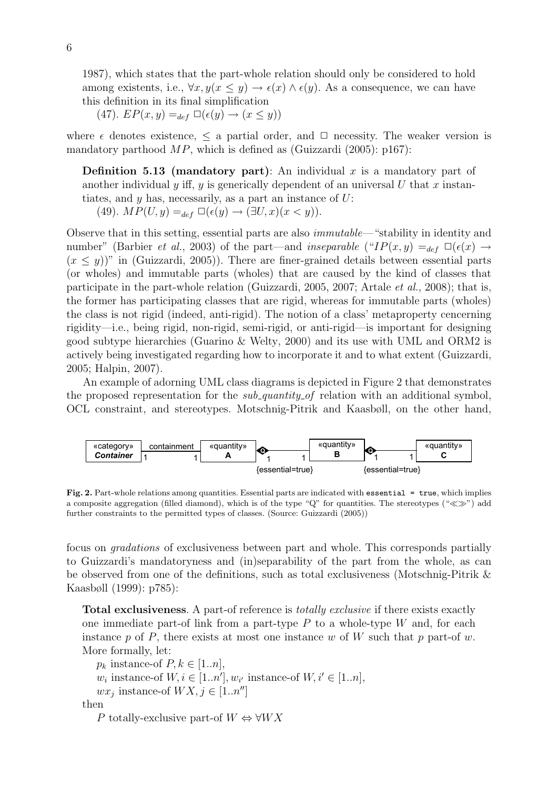1987), which states that the part-whole relation should only be considered to hold among existents, i.e.,  $\forall x, y(x \leq y) \rightarrow \epsilon(x) \land \epsilon(y)$ . As a consequence, we can have this definition in its final simplification

(47).  $EP(x, y) =_{def} \Box(\epsilon(y) \rightarrow (x \leq y))$ 

where  $\epsilon$  denotes existence,  $\leq$  a partial order, and  $\Box$  necessity. The weaker version is matter consists emistence,  $\equiv \alpha$  partial eract, and  $\equiv$  inecessity. The weaker version mandatory parthood  $MP$ , which is defined as (Guizzardi (2005): p167):

**Definition 5.13 (mandatory part)**: An individual  $x$  is a mandatory part of another individual  $\gamma$  iff,  $\gamma$  is generically dependent of an universal U that x instanabouter marviolar y in, y is generically dependent of an universal  $\sigma$  that x instantiates, and y has, necessarily, as a part an instance of  $U$ :  $\begin{pmatrix} 1 & 1 & 1 \\ 0 & 0 & 1 \end{pmatrix}$ **Definition 5.15 (mandatory part)**: An individual x is a mandatory part of  $x$  is experienced to a then below individual  $u$  if  $u$  is generically dependent of an universal  $U$  that  $x$  instep.

(49).  $\check{MP}(U, y) =_{def} \Box(\epsilon(y) \rightarrow (\exists U, x)(x \lt y)).$ 

Observe that in this setting, essential parts are also  $\textit{immutable}$ —"stability in identity and Observe that in this setting, essential parts are also *immutable*  $\rightarrow$  stability in identity and number" (Barbier *et al.*, 2003) of the part—and *inseparable* (" $IP(x, y) =_{def} \Box(\epsilon(x) \rightarrow$  $(x \leq y)$ " in (Guizzardi, 2005)). There are finer-grained details between essential parts (or wholes) and immutable parts (wholes) that are caused by the kind of classes that participate in the part-whole relation (Guizzardi, 2005, 2007; Artale  $et$   $al., 2008$ ); that is, the former has participating classes that are rigid, whereas for immutable parts (wholes) the class is not rigid (indeed, anti-rigid). The notion of a class' metaproperty cencerning<br>rigidity is a being rigid non rigid semi-rigid or anti-rigid is important for designing rigidity—i.e., being rigid, non-rigid, semi-rigid, or anti-rigid—is important for designing  $\mu$ good subtype hierarchies (Guarino & Welty, 2000) and its use with UML and ORM2 is good subtype hierarchies (Guarino & Welty, 2000) and its use with UML and ORM2 is  $\overrightarrow{C}$  actively being investigated regarding how to incorporate it and to what extent (Guizzardi, 2005; Halpin, 2007).

An example of adorning UML class diagrams is depicted in Figure 2 that demonstrates the proposed representation for the *sub quantity of* relation with an additional symbol,  $\alpha$ OCL constraint, and stereotypes. Motschnig-Pitrik and Kaasbøll, on the other hand,



rig. 2. Fart-whole relations allong quantities. Essential parts are indicated with essential  $-$  true, which infinies a composite aggregation (filled diamond), which is of the type "Q" for quantities. The stereotypes (" $\ll$ further constraints to the permitted types of classes. (Source: Guizzardi  $(2005)$ ) Fig. 2. Part-whole relations among quantities. Essential parts are indicated with essential = true, which implies

focus on *gradations* of exclusiveness between part and whole. This corresponds partially to Guizzardi's mandatoryness and (in)separability of the part from the whole, as can be observed from one of the definitions, such as total exclusiveness (Motschnig-Pitrik  $\&$ solon (1999).  $p_{100}$ . Kaasbøll (1999): p785):

Total exclusiveness. A part-of reference is *totally exclusive* if there exists exactly one immediate part-of link from a part-type  $P$  to a whole-type  $W$  and, for each instance p of P, there exists at most one instance w of W such that p part-of w. More formally, let:

 $p_k$  instance-of  $P, k \in [1..n]$ ,  $w_i$  instance-of  $W, i \in [1..n']$ ,  $w_{i'}$  instance-of  $W, i' \in [1..n]$ ,  $wx_j$  instance-of  $WX, j \in [1..n'']$ then

P totally-exclusive part-of  $W \Leftrightarrow \forall W X$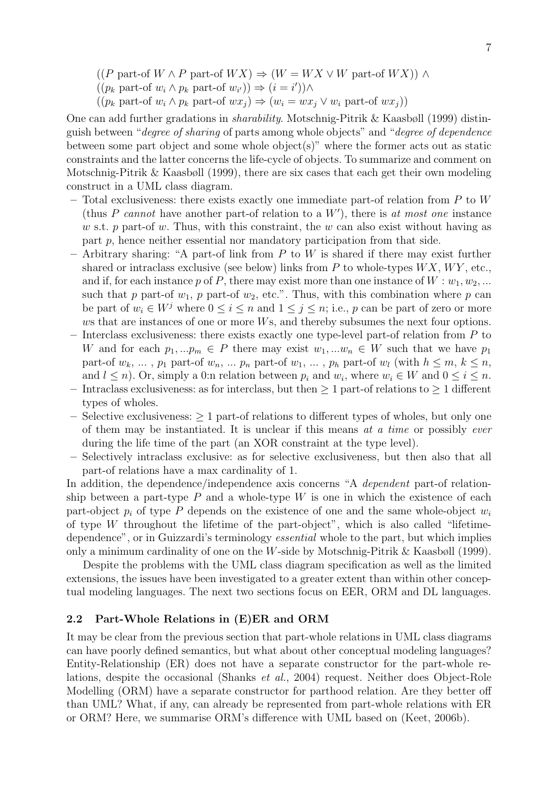- $((P \text{ part-of } W \wedge P \text{ part-of }WX) \Rightarrow (W = W X \vee W \text{ part-of }WX)) \wedge$
- $((p_k \text{ part-of } w_i \land p_k \text{ part-of } w_{i'})) \Rightarrow (i = i')) \land$
- $((p_k \text{ part-of } w_i \wedge p_k \text{ part-of } wx_j) \Rightarrow (w_i = wx_j \vee w_i \text{ part-of } wx_j))$

One can add further gradations in sharability. Motschnig-Pitrik & Kaasbøll (1999) distinguish between "degree of sharing of parts among whole objects" and "degree of dependence between some part object and some whole object(s)" where the former acts out as static constraints and the latter concerns the life-cycle of objects. To summarize and comment on Motschnig-Pitrik & Kaasbøll (1999), there are six cases that each get their own modeling construct in a UML class diagram.

- Total exclusiveness: there exists exactly one immediate part-of relation from  $P$  to  $W$ (thus P cannot have another part-of relation to a  $W'$ ), there is at most one instance w s.t. p part-of w. Thus, with this constraint, the w can also exist without having as part p, hence neither essential nor mandatory participation from that side.
- Arbitrary sharing: "A part-of link from  $P$  to  $W$  is shared if there may exist further shared or intraclass exclusive (see below) links from  $P$  to whole-types  $WX, WY,$  etc., and if, for each instance p of P, there may exist more than one instance of  $W : w_1, w_2, ...$ such that p part-of  $w_1$ , p part-of  $w_2$ , etc.". Thus, with this combination where p can be part of  $w_i \in W^j$  where  $0 \leq i \leq n$  and  $1 \leq j \leq n$ ; i.e., p can be part of zero or more ws that are instances of one or more  $W$ s, and thereby subsumes the next four options.
- Interclass exclusiveness: there exists exactly one type-level part-of relation from P to W and for each  $p_1, ... p_m \in P$  there may exist  $w_1, ... w_n \in W$  such that we have  $p_1$ part-of  $w_k, \ldots, p_1$  part-of  $w_n, \ldots, p_n$  part-of  $w_1, \ldots, p_h$  part-of  $w_l$  (with  $h \leq m, k \leq n$ , and  $l \leq n$ ). Or, simply a 0:n relation between  $p_i$  and  $w_i$ , where  $w_i \in W$  and  $0 \leq i \leq n$ .
- Intraclass exclusiveness: as for interclass, but then  $\geq 1$  part-of relations to  $\geq 1$  different types of wholes.
- $-$  Selective exclusiveness:  $\geq 1$  part-of relations to different types of wholes, but only one of them may be instantiated. It is unclear if this means at a time or possibly ever during the life time of the part (an XOR constraint at the type level).
- Selectively intraclass exclusive: as for selective exclusiveness, but then also that all part-of relations have a max cardinality of 1.

In addition, the dependence/independence axis concerns "A *dependent* part-of relationship between a part-type  $P$  and a whole-type  $W$  is one in which the existence of each part-object  $p_i$  of type P depends on the existence of one and the same whole-object  $w_i$ of type  $W$  throughout the lifetime of the part-object", which is also called "lifetimedependence", or in Guizzardi's terminology *essential* whole to the part, but which implies only a minimum cardinality of one on the W-side by Motschnig-Pitrik  $&$  Kaasbøll (1999).

Despite the problems with the UML class diagram specification as well as the limited extensions, the issues have been investigated to a greater extent than within other conceptual modeling languages. The next two sections focus on EER, ORM and DL languages.

### 2.2 Part-Whole Relations in (E)ER and ORM

It may be clear from the previous section that part-whole relations in UML class diagrams can have poorly defined semantics, but what about other conceptual modeling languages? Entity-Relationship (ER) does not have a separate constructor for the part-whole relations, despite the occasional (Shanks et al., 2004) request. Neither does Object-Role Modelling (ORM) have a separate constructor for parthood relation. Are they better off than UML? What, if any, can already be represented from part-whole relations with ER or ORM? Here, we summarise ORM's difference with UML based on (Keet, 2006b).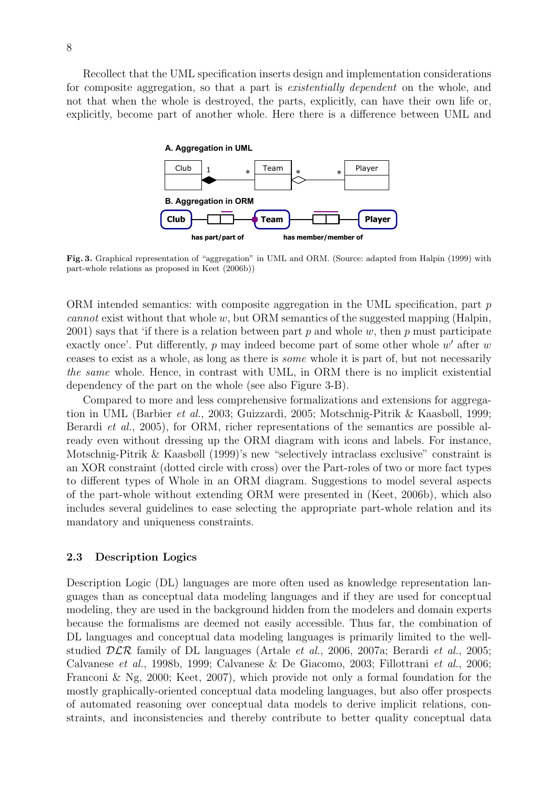Recollect that the UML specification inserts design and implementation considerations for composite aggregation, so that a part is existentially dependent on the whole, and not that when the whole is destroyed, the parts, explicitly, can have their own life or, explicitly, become part of another whole. Here there is a difference between UML and



Fig. 3. Graphical representation of "aggregation" in UML and ORM. (Source: adapted from Halpin (1999) with part-whole relations as proposed in Keet (2006b))

ORM intended semantics: with composite aggregation in the UML specification, part p cannot exist without that whole w, but ORM semantics of the suggested mapping (Halpin, 2001) says that 'if there is a relation between part  $p$  and whole  $w$ , then  $p$  must participate exactly once'. Put differently,  $p$  may indeed become part of some other whole  $w'$  after  $w$ ceases to exist as a whole, as long as there is some whole it is part of, but not necessarily the same whole. Hence, in contrast with UML, in ORM there is no implicit existential dependency of the part on the whole (see also Figure 3-B).

Compared to more and less comprehensive formalizations and extensions for aggregation in UML (Barbier et al., 2003; Guizzardi, 2005; Motschnig-Pitrik & Kaasbøll, 1999; Berardi et al., 2005), for ORM, richer representations of the semantics are possible already even without dressing up the ORM diagram with icons and labels. For instance, Motschnig-Pitrik & Kaasbøll (1999)'s new "selectively intraclass exclusive" constraint is an XOR constraint (dotted circle with cross) over the Part-roles of two or more fact types to different types of Whole in an ORM diagram. Suggestions to model several aspects of the part-whole without extending ORM were presented in (Keet, 2006b), which also includes several guidelines to ease selecting the appropriate part-whole relation and its mandatory and uniqueness constraints.

### 2.3 Description Logics

Description Logic (DL) languages are more often used as knowledge representation languages than as conceptual data modeling languages and if they are used for conceptual modeling, they are used in the background hidden from the modelers and domain experts because the formalisms are deemed not easily accessible. Thus far, the combination of DL languages and conceptual data modeling languages is primarily limited to the wellstudied  $DLR$  family of DL languages (Artale *et al.*, 2006, 2007a; Berardi *et al.*, 2005; Calvanese et al., 1998b, 1999; Calvanese & De Giacomo, 2003; Fillottrani et al., 2006; Franconi & Ng, 2000; Keet, 2007), which provide not only a formal foundation for the mostly graphically-oriented conceptual data modeling languages, but also offer prospects of automated reasoning over conceptual data models to derive implicit relations, constraints, and inconsistencies and thereby contribute to better quality conceptual data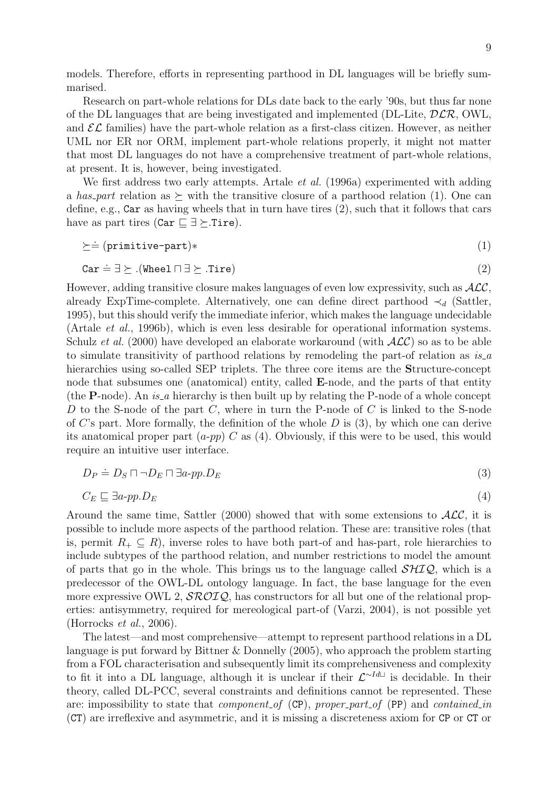models. Therefore, efforts in representing parthood in DL languages will be briefly summarised.

Research on part-whole relations for DLs date back to the early '90s, but thus far none of the DL languages that are being investigated and implemented (DL-Lite,  $\mathcal{D}\mathcal{L}\mathcal{R}$ , OWL, and  $\mathcal{EL}$  families) have the part-whole relation as a first-class citizen. However, as neither UML nor ER nor ORM, implement part-whole relations properly, it might not matter that most DL languages do not have a comprehensive treatment of part-whole relations, at present. It is, however, being investigated.

We first address two early attempts. Artale *et al.* (1996a) experimented with adding a has part relation as  $\succeq$  with the transitive closure of a parthood relation (1). One can define, e.g., Car as having wheels that in turn have tires (2), such that it follows that cars have as part tires (Car  $\sqsubset \exists \succ$  Tire).

$$
\succeq = (\text{primitive-part})*\tag{1}
$$

$$
\text{Car} \doteq \exists \succeq .(\text{Wheel} \sqcap \exists \succeq .\text{Tire}) \tag{2}
$$

However, adding transitive closure makes languages of even low expressivity, such as  $\mathcal{ALC}$ , already ExpTime-complete. Alternatively, one can define direct parthood  $\prec_d$  (Sattler, 1995), but this should verify the immediate inferior, which makes the language undecidable (Artale et al., 1996b), which is even less desirable for operational information systems. Schulz *et al.* (2000) have developed an elaborate workaround (with  $\text{ALC}$ ) so as to be able to simulate transitivity of parthood relations by remodeling the part-of relation as  $is_a$ hierarchies using so-called SEP triplets. The three core items are the Structure-concept node that subsumes one (anatomical) entity, called E-node, and the parts of that entity (the **P**-node). An is a hierarchy is then built up by relating the P-node of a whole concept D to the S-node of the part  $C$ , where in turn the P-node of  $C$  is linked to the S-node of C's part. More formally, the definition of the whole  $D$  is  $(3)$ , by which one can derive its anatomical proper part  $(a-pp)$  C as (4). Obviously, if this were to be used, this would require an intuitive user interface.

$$
D_P \doteq D_S \sqcap \neg D_E \sqcap \exists a \text{-} pp. D_E \tag{3}
$$

$$
C_E \sqsubseteq \exists a \text{-}pp \ldotp D_E \tag{4}
$$

Around the same time, Sattler (2000) showed that with some extensions to  $\mathcal{ALC}$ , it is possible to include more aspects of the parthood relation. These are: transitive roles (that is, permit  $R_+ \subseteq R$ ), inverse roles to have both part-of and has-part, role hierarchies to include subtypes of the parthood relation, and number restrictions to model the amount of parts that go in the whole. This brings us to the language called  $\mathcal{SHIQ}$ , which is a predecessor of the OWL-DL ontology language. In fact, the base language for the even more expressive OWL 2,  $\text{SROIQ}$ , has constructors for all but one of the relational properties: antisymmetry, required for mereological part-of (Varzi, 2004), is not possible yet (Horrocks et al., 2006).

The latest—and most comprehensive—attempt to represent parthood relations in a DL language is put forward by Bittner & Donnelly (2005), who approach the problem starting from a FOL characterisation and subsequently limit its comprehensiveness and complexity to fit it into a DL language, although it is unclear if their  $\mathcal{L}^{\sim Id\sqcup}$  is decidable. In their theory, called DL-PCC, several constraints and definitions cannot be represented. These are: impossibility to state that *component* of  $(CP)$ , proper part of  $(PP)$  and *contained in* (CT) are irreflexive and asymmetric, and it is missing a discreteness axiom for CP or CT or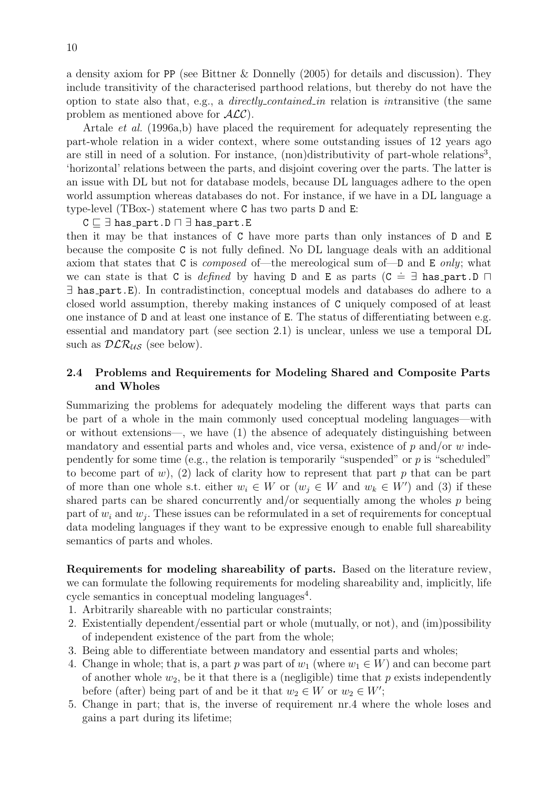a density axiom for PP (see Bittner & Donnelly (2005) for details and discussion). They include transitivity of the characterised parthood relations, but thereby do not have the option to state also that, e.g., a *directly contained in* relation is *in*transitive (the same problem as mentioned above for  $\mathcal{ALC}$ .

Artale et al. (1996a,b) have placed the requirement for adequately representing the part-whole relation in a wider context, where some outstanding issues of 12 years ago are still in need of a solution. For instance, (non)distributivity of part-whole relations<sup>3</sup>, 'horizontal' relations between the parts, and disjoint covering over the parts. The latter is an issue with DL but not for database models, because DL languages adhere to the open world assumption whereas databases do not. For instance, if we have in a DL language a type-level (TBox-) statement where C has two parts D and E:

 $C \sqsubset \exists$  has part.D  $\sqcap \exists$  has part.E

then it may be that instances of C have more parts than only instances of D and E because the composite C is not fully defined. No DL language deals with an additional axiom that states that C is *composed* of—the mereological sum of—D and E *only*; what we can state is that C is *defined* by having D and E as parts ( $C \doteq \exists$  has part.D  $\Box$ ∃ has part.E). In contradistinction, conceptual models and databases do adhere to a closed world assumption, thereby making instances of C uniquely composed of at least one instance of D and at least one instance of E. The status of differentiating between e.g. essential and mandatory part (see section 2.1) is unclear, unless we use a temporal DL such as  $DLR_{US}$  (see below).

### 2.4 Problems and Requirements for Modeling Shared and Composite Parts and Wholes

Summarizing the problems for adequately modeling the different ways that parts can be part of a whole in the main commonly used conceptual modeling languages—with or without extensions—, we have (1) the absence of adequately distinguishing between mandatory and essential parts and wholes and, vice versa, existence of  $p$  and/or  $w$  independently for some time (e.g., the relation is temporarily "suspended" or  $p$  is "scheduled" to become part of w), (2) lack of clarity how to represent that part p that can be part of more than one whole s.t. either  $w_i \in W$  or  $(w_j \in W$  and  $w_k \in W')$  and (3) if these shared parts can be shared concurrently and/or sequentially among the wholes  $p$  being part of  $w_i$  and  $w_j$ . These issues can be reformulated in a set of requirements for conceptual data modeling languages if they want to be expressive enough to enable full shareability semantics of parts and wholes.

Requirements for modeling shareability of parts. Based on the literature review, we can formulate the following requirements for modeling shareability and, implicitly, life cycle semantics in conceptual modeling languages<sup>4</sup>.

- 1. Arbitrarily shareable with no particular constraints;
- 2. Existentially dependent/essential part or whole (mutually, or not), and (im)possibility of independent existence of the part from the whole;
- 3. Being able to differentiate between mandatory and essential parts and wholes;
- 4. Change in whole; that is, a part p was part of  $w_1$  (where  $w_1 \in W$ ) and can become part of another whole  $w_2$ , be it that there is a (negligible) time that p exists independently before (after) being part of and be it that  $w_2 \in W$  or  $w_2 \in W'$ ;
- 5. Change in part; that is, the inverse of requirement nr.4 where the whole loses and gains a part during its lifetime;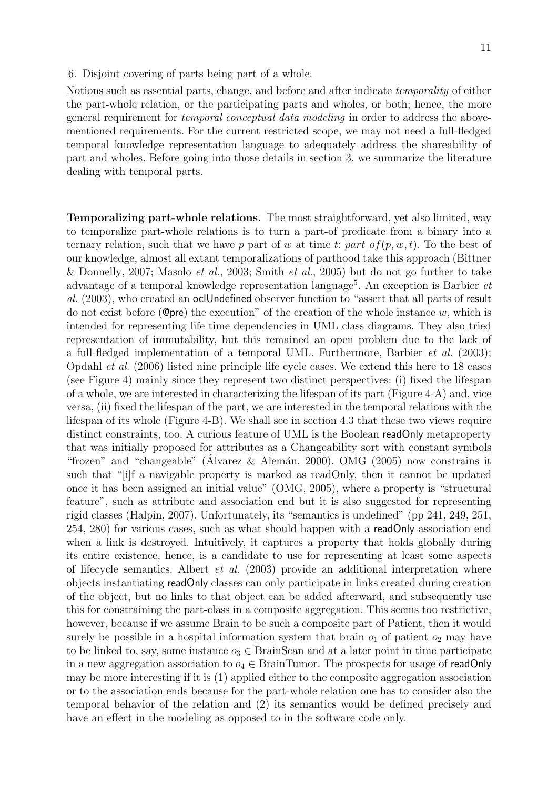6. Disjoint covering of parts being part of a whole.

Notions such as essential parts, change, and before and after indicate temporality of either the part-whole relation, or the participating parts and wholes, or both; hence, the more general requirement for temporal conceptual data modeling in order to address the abovementioned requirements. For the current restricted scope, we may not need a full-fledged temporal knowledge representation language to adequately address the shareability of part and wholes. Before going into those details in section 3, we summarize the literature dealing with temporal parts.

Temporalizing part-whole relations. The most straightforward, yet also limited, way to temporalize part-whole relations is to turn a part-of predicate from a binary into a ternary relation, such that we have p part of w at time t:  $part_of(p, w, t)$ . To the best of our knowledge, almost all extant temporalizations of parthood take this approach (Bittner & Donnelly, 2007; Masolo *et al.*, 2003; Smith *et al.*, 2005) but do not go further to take advantage of a temporal knowledge representation language<sup>5</sup>. An exception is Barbier  $et$ al. (2003), who created an oclUndefined observer function to "assert that all parts of result do not exist before ( $Qpre$ ) the execution" of the creation of the whole instance w, which is intended for representing life time dependencies in UML class diagrams. They also tried representation of immutability, but this remained an open problem due to the lack of a full-fledged implementation of a temporal UML. Furthermore, Barbier et al. (2003); Opdahl et al. (2006) listed nine principle life cycle cases. We extend this here to 18 cases (see Figure 4) mainly since they represent two distinct perspectives: (i) fixed the lifespan of a whole, we are interested in characterizing the lifespan of its part (Figure 4-A) and, vice versa, (ii) fixed the lifespan of the part, we are interested in the temporal relations with the lifespan of its whole (Figure 4-B). We shall see in section 4.3 that these two views require distinct constraints, too. A curious feature of UML is the Boolean readOnly metaproperty that was initially proposed for attributes as a Changeability sort with constant symbols "frozen" and "changeable" (Alvarez & Alemán, 2000). OMG (2005) now constrains it such that "[i]f a navigable property is marked as readOnly, then it cannot be updated once it has been assigned an initial value" (OMG, 2005), where a property is "structural feature", such as attribute and association end but it is also suggested for representing rigid classes (Halpin, 2007). Unfortunately, its "semantics is undefined" (pp 241, 249, 251, 254, 280) for various cases, such as what should happen with a readOnly association end when a link is destroyed. Intuitively, it captures a property that holds globally during its entire existence, hence, is a candidate to use for representing at least some aspects of lifecycle semantics. Albert *et al.* (2003) provide an additional interpretation where objects instantiating readOnly classes can only participate in links created during creation of the object, but no links to that object can be added afterward, and subsequently use this for constraining the part-class in a composite aggregation. This seems too restrictive, however, because if we assume Brain to be such a composite part of Patient, then it would surely be possible in a hospital information system that brain  $o_1$  of patient  $o_2$  may have to be linked to, say, some instance  $o_3 \in$  BrainScan and at a later point in time participate in a new aggregation association to  $o_4 \in \text{BrainTumor}$ . The prospects for usage of readOnly may be more interesting if it is (1) applied either to the composite aggregation association or to the association ends because for the part-whole relation one has to consider also the temporal behavior of the relation and (2) its semantics would be defined precisely and have an effect in the modeling as opposed to in the software code only.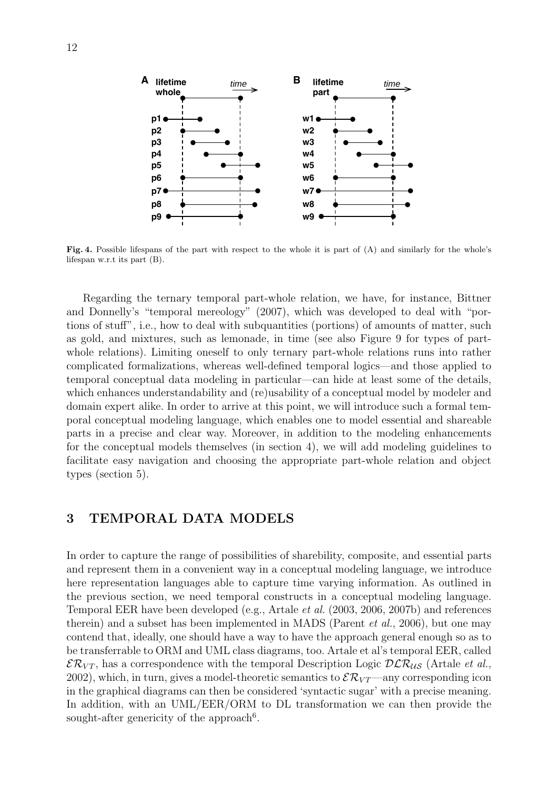

Fig. 4. Possible lifespans of the part with respect to the whole it is part of (A) and similarly for the whole's lifespan w.r.t its part (B).

Regarding the ternary temporal part-whole relation, we have, for instance, Bittner and Donnelly's "temporal mereology" (2007), which was developed to deal with "portions of stuff", i.e., how to deal with subquantities (portions) of amounts of matter, such as gold, and mixtures, such as lemonade, in time (see also Figure 9 for types of partwhole relations). Limiting oneself to only ternary part-whole relations runs into rather complicated formalizations, whereas well-defined temporal logics—and those applied to temporal conceptual data modeling in particular—can hide at least some of the details, which enhances understandability and (re)usability of a conceptual model by modeler and domain expert alike. In order to arrive at this point, we will introduce such a formal temporal conceptual modeling language, which enables one to model essential and shareable parts in a precise and clear way. Moreover, in addition to the modeling enhancements for the conceptual models themselves (in section 4), we will add modeling guidelines to facilitate easy navigation and choosing the appropriate part-whole relation and object types (section 5).

# 3 TEMPORAL DATA MODELS

In order to capture the range of possibilities of sharebility, composite, and essential parts and represent them in a convenient way in a conceptual modeling language, we introduce here representation languages able to capture time varying information. As outlined in the previous section, we need temporal constructs in a conceptual modeling language. Temporal EER have been developed (e.g., Artale et al. (2003, 2006, 2007b) and references therein) and a subset has been implemented in MADS (Parent  $et al., 2006$ ), but one may contend that, ideally, one should have a way to have the approach general enough so as to be transferrable to ORM and UML class diagrams, too. Artale et al's temporal EER, called  $\mathcal{ER}_{VT}$ , has a correspondence with the temporal Description Logic  $\mathcal{DLR}_{US}$  (Artale *et al.*, 2002), which, in turn, gives a model-theoretic semantics to  $\mathcal{ER}_{VT}$ —any corresponding icon in the graphical diagrams can then be considered 'syntactic sugar' with a precise meaning. In addition, with an UML/EER/ORM to DL transformation we can then provide the sought-after genericity of the approach<sup>6</sup>.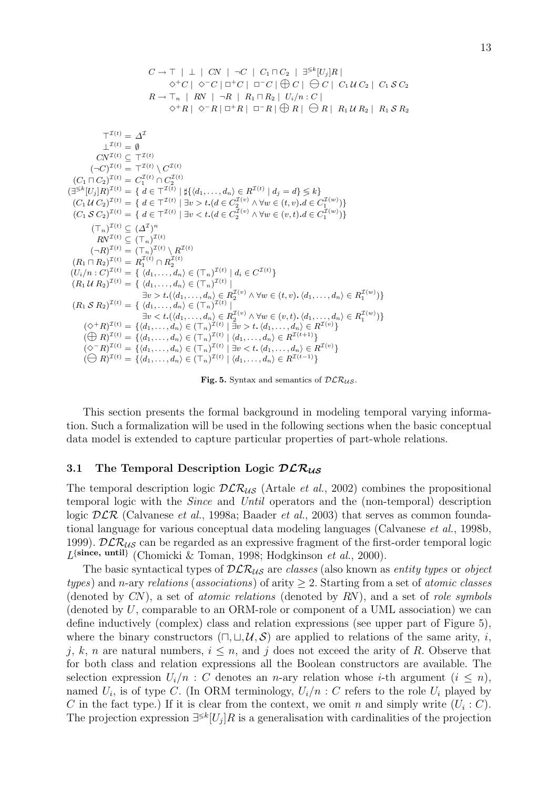$$
C \to \top | \bot | CN | \neg C | C_1 \sqcap C_2 | \exists^{5k} [U_j]R |
$$
  
\n
$$
\diamond^+ C | \diamond^- C | \Box^+ C | \Box^- C | \bigoplus C | \bigoplus C | C_1 U C_2 | C_3 C_2
$$
  
\n
$$
R \to \top_n | RN | \neg R | R_1 \sqcap R_2 | U_i/n : C |
$$
  
\n
$$
\diamond^+ R | \diamond^- R | \Box^+ R | \Box^- R | \bigoplus R | \bigoplus R | R_1 U R_2 | R_1 S R_2
$$
  
\n
$$
\top^{T(t)} = \Delta^T
$$
  
\n
$$
\bot^{T(t)} = \emptyset
$$
  
\n
$$
CV^{T(t)} \subseteq \top^{T(t)}
$$
  
\n
$$
(\bigcap_{i=1}^{T(t)} \bigcap_{j=1}^{T(t)} \bigcap_{j=1}^{T(t)} C_2^{T(t)}
$$
  
\n
$$
(\bigcap_{i=1}^{T(t)} \bigcap_{j=1}^{T(t)} \bigcap_{j=1}^{T(t)} C_2^{T(t)}
$$
  
\n
$$
(\bigcap_{i=1}^{T(t)} \bigcap_{j=1}^{T(t)} \bigcap C_2^{T(t)}
$$
  
\n
$$
(\bigcap_{i=1}^{T(t)} \bigcap_{j=1}^{T(t)} \bigcap C_2^{T(t)} | \bigoplus_{j=1}^{T(t)} \bigcap C_2^{T(t)} \bigcap C_2^{T(t)} \bigcap C_2^{T(t)} \bigcap C_2^{T(t)} \bigcap C_2^{T(t)} \bigcap C_2^{T(t)} \bigcap C_2^{T(t)} \bigcap C_2^{T(t)} \bigcap C_2^{T(t)} \bigcap C_2^{T(t)} \bigcap C_2^{T(t)} \bigcap C_2^{T(t)} \bigcap C_2^{T(t)} \bigcap C_2^{T(t)} \bigcap C_2^{T(t)} \bigcap C_2^{T(t)} \bigcap C_2^{T(t)} \bigcap C_2^{T(t)} \bigcap C_2^{T(t)} \bigcap C_2^{T(t)} \bigcap C_2^{T(t)} \bigcap C_2^{T(t)} \bigcap C_2^{T(t)} \bigcap C_2^{T(t)} \bigcap C_2^{T(t)} \bigcap C_2^{T(t)} \bigcap C_2^{T(t)} \bigcap C_2^{T(t)} \big
$$

Fig. 5. Syntax and semantics of  $DLR_{US}$ .

This section presents the formal background in modeling temporal varying information. Such a formalization will be used in the following sections when the basic conceptual data model is extended to capture particular properties of part-whole relations.

#### 3.1 The Temporal Description Logic  $DLR_{US}$

The temporal description logic  $DLR_{US}$  (Artale *et al.*, 2002) combines the propositional temporal logic with the Since and Until operators and the (non-temporal) description logic  $DLR$  (Calvanese *et al.*, 1998a; Baader *et al.*, 2003) that serves as common foundational language for various conceptual data modeling languages (Calvanese et al., 1998b, 1999).  $DLR_{US}$  can be regarded as an expressive fragment of the first-order temporal logic  $L^{\{\text{since, until}\}}$  (Chomicki & Toman, 1998; Hodgkinson et al., 2000).

The basic syntactical types of  $DLR_{US}$  are classes (also known as entity types or object types) and n-ary relations (associations) of arity  $\geq 2$ . Starting from a set of atomic classes (denoted by  $CN$ ), a set of *atomic relations* (denoted by  $RN$ ), and a set of *role symbols* (denoted by  $U$ , comparable to an ORM-role or component of a UML association) we can define inductively (complex) class and relation expressions (see upper part of Figure 5), where the binary constructors  $(\Pi, \Box, \mathcal{U}, \mathcal{S})$  are applied to relations of the same arity, i, j, k, n are natural numbers,  $i \leq n$ , and j does not exceed the arity of R. Observe that for both class and relation expressions all the Boolean constructors are available. The selection expression  $U_i/n$ : C denotes an *n*-ary relation whose *i*-th argument  $(i \leq n)$ , named  $U_i$ , is of type C. (In ORM terminology,  $U_i/n$  : C refers to the role  $U_i$  played by C in the fact type.) If it is clear from the context, we omit n and simply write  $(U_i : C)$ . The projection expression  $\exists^{\leq k}[U_j]R$  is a generalisation with cardinalities of the projection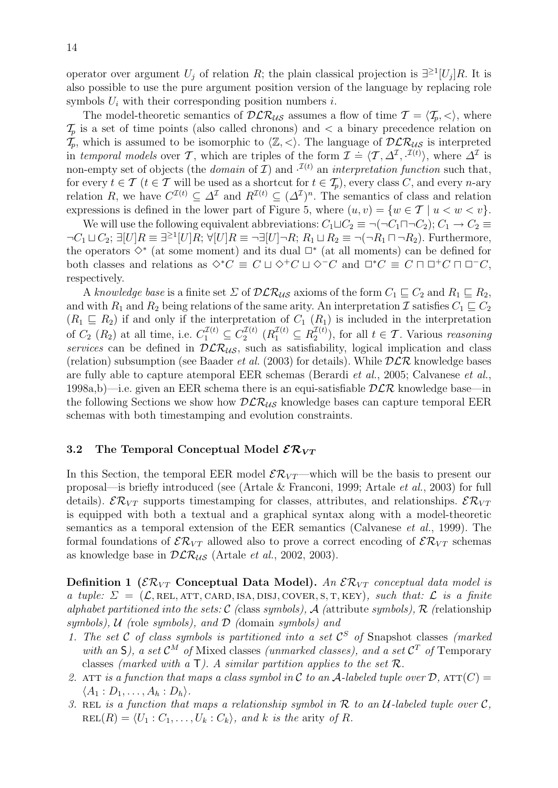operator over argument  $U_j$  of relation R; the plain classical projection is  $\exists^{\geq 1}[U_j]R$ . It is also possible to use the pure argument position version of the language by replacing role symbols  $U_i$  with their corresponding position numbers i.

The model-theoretic semantics of  $DLR_{\mathcal{US}}$  assumes a flow of time  $\mathcal{T} = \langle \mathcal{T}_p, \langle \rangle$ , where  $\mathcal{T}_p$  is a set of time points (also called chronons) and  $\langle$  a binary precedence relation on  $\mathcal{T}_p$ , which is assumed to be isomorphic to  $\langle \mathbb{Z}, \langle \cdot \rangle$ . The language of  $\mathcal{DLR}_{\mathcal{US}}$  is interpreted  $\mathcal{L}_p$ , which is assumed to be isomorphic to  $\langle \mathbb{Z}, \times \rangle$ . The language of  $\mathcal{L}_p$ ,  $\mathcal{L}_q$  is interpreted<br>in temporal models over T, which are triples of the form  $\mathcal{I} \doteq \langle \mathcal{T}, \Delta^{\mathcal{I}}, \mathcal{I}^{(t)} \rangle$ , where non-empty set of objects (the *domain* of  $\mathcal{I}$ ) and  $\mathcal{I}^{(t)}$  an *interpretation function* such that, for every  $t \in \mathcal{T}$  ( $t \in \mathcal{T}$  will be used as a shortcut for  $t \in \mathcal{T}_p$ ), every class C, and every *n*-ary relation R, we have  $C^{I(t)} \subseteq \Delta^{\mathcal{I}}$  and  $R^{I(t)} \subseteq (\Delta^{\mathcal{I}})^n$ . The semantics of class and relation expressions is defined in the lower part of Figure 5, where  $(u, v) = \{w \in \mathcal{T} \mid u < w < v\}$ .

We will use the following equivalent abbreviations:  $C_1 \sqcup C_2 \equiv \neg(\neg C_1 \sqcap \neg C_2); C_1 \rightarrow C_2 \equiv$  $\neg C_1 \sqcup C_2$ ;  $\exists [U]R \equiv \exists^{\geq 1}[U]R$ ;  $\forall [U]R \equiv \neg \exists [U] \neg R$ ;  $R_1 \sqcup R_2 \equiv \neg(\neg R_1 \sqcap \neg R_2)$ . Furthermore, the operators  $\diamond^*$  (at some moment) and its dual  $\Box^*$  (at all moments) can be defined for both classes and relations as  $\Diamond^*C \equiv C \sqcup \Diamond^+C \sqcup \Diamond^-C$  and  $\Box^*C \equiv C \sqcap \Box^+C \sqcap \Box^-C$ , respectively.

A knowledge base is a finite set  $\Sigma$  of  $\mathcal{DLR}_{\mathcal{US}}$  axioms of the form  $C_1 \sqsubseteq C_2$  and  $R_1 \sqsubseteq R_2$ , and with  $R_1$  and  $R_2$  being relations of the same arity. An interpretation I satisfies  $C_1 \sqsubseteq C_2$  $(R_1 \subseteq R_2)$  if and only if the interpretation of  $C_1$   $(R_1)$  is included in the interpretation of  $C_2$  ( $R_2$ ) at all time, i.e.  $C_1^{\mathcal{I}(t)} \subseteq C_2^{\mathcal{I}(t)}$  $R_1^{\mathcal{I}(t)}$   $(R_1^{\mathcal{I}(t)} \subseteq R_2^{\mathcal{I}(t)}$  $\mathcal{L}^{(t)}(t)$ , for all  $t \in \mathcal{T}$ . Various reasoning services can be defined in  $DLR_{US}$ , such as satisfiability, logical implication and class (relation) subsumption (see Baader *et al.* (2003) for details). While  $DLR$  knowledge bases are fully able to capture atemporal EER schemas (Berardi et al., 2005; Calvanese et al., 1998a,b)—i.e. given an EER schema there is an equi-satisfiable  $DLR$  knowledge base—in the following Sections we show how  $DLR_{US}$  knowledge bases can capture temporal EER schemas with both timestamping and evolution constraints.

#### 3.2 The Temporal Conceptual Model  $\mathcal{ER}_{VT}$

In this Section, the temporal EER model  $\mathcal{ER}_{VT}$ —which will be the basis to present our proposal—is briefly introduced (see (Artale & Franconi, 1999; Artale et al., 2003) for full details).  $\mathcal{ER}_{VT}$  supports timestamping for classes, attributes, and relationships.  $\mathcal{ER}_{VT}$ is equipped with both a textual and a graphical syntax along with a model-theoretic semantics as a temporal extension of the EER semantics (Calvanese et al., 1999). The formal foundations of  $\mathcal{ER}_{VT}$  allowed also to prove a correct encoding of  $\mathcal{ER}_{VT}$  schemas as knowledge base in  $DLR_{\mathcal{US}}$  (Artale *et al.*, 2002, 2003).

**Definition 1** ( $\mathcal{ER}_{VT}$  Conceptual Data Model). An  $\mathcal{ER}_{VT}$  conceptual data model is a tuple:  $\Sigma = (\mathcal{L}, \text{REL}, \text{ATT}, \text{CARD}, \text{ISA}, \text{DISJ}, \text{CoverR}, \text{S}, \text{T}, \text{KEY}),$  such that:  $\mathcal{L}$  is a finite alphabet partitioned into the sets: C (class symbols), A (attribute symbols), R (relationship symbols),  $U$  (role symbols), and  $D$  (domain symbols) and

- 1. The set C of class symbols is partitioned into a set  $\mathcal{C}^S$  of Snapshot classes (marked with an S), a set  $\mathcal{C}^M$  of Mixed classes (unmarked classes), and a set  $\mathcal{C}^T$  of Temporary classes (marked with  $a \top$ ). A similar partition applies to the set  $\mathcal{R}$ .
- 2. ATT is a function that maps a class symbol in C to an A-labeled tuple over  $\mathcal{D}$ , ATT(C) =  $\langle A_1 : D_1, \ldots, A_h : D_h \rangle$ .
- 3. REL is a function that maps a relationship symbol in  $R$  to an U-labeled tuple over  $C$ ,  $REL(R) = \langle U_1 : C_1, \ldots, U_k : C_k \rangle$ , and k is the arity of R.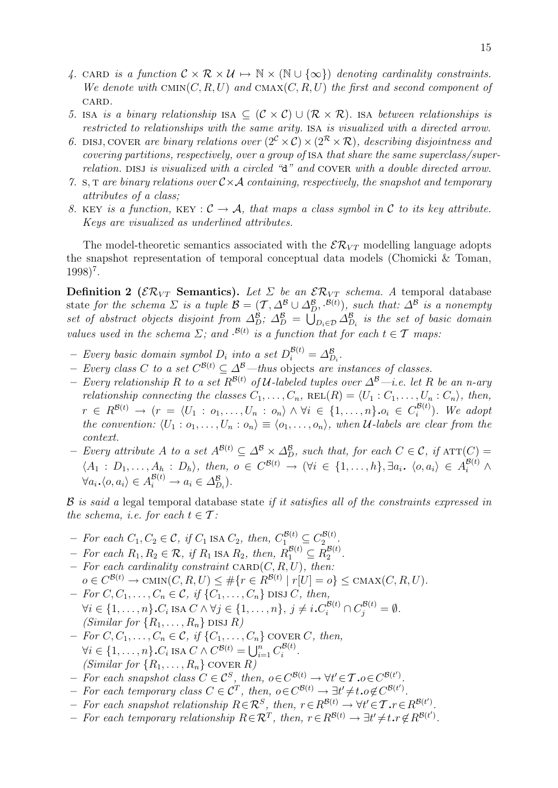- 4. CARD is a function  $C \times \mathcal{R} \times \mathcal{U} \mapsto \mathbb{N} \times (\mathbb{N} \cup {\infty})$  denoting cardinality constraints. We denote with CMIN $(C, R, U)$  and CMAX $(C, R, U)$  the first and second component of CARD.
- 5. ISA is a binary relationship ISA  $\subseteq$   $(C \times C) \cup (\mathcal{R} \times \mathcal{R})$ . ISA between relationships is restricted to relationships with the same arity. ISA is visualized with a directed arrow.
- 6. DISJ, COVER are binary relations over  $(2^c \times \mathcal{C}) \times (2^R \times \mathcal{R})$ , describing disjointness and covering partitions, respectively, over a group of isa that share the same superclass/superrelation. DISJ is visualized with a circled " $d$ " and COVER with a double directed arrow.
- 7. S, T are binary relations over  $C \times A$  containing, respectively, the snapshot and temporary attributes of a class;
- 8. KEY is a function, KEY :  $C \rightarrow A$ , that maps a class symbol in C to its key attribute. Keys are visualized as underlined attributes.

The model-theoretic semantics associated with the  $\mathcal{ER}_{VT}$  modelling language adopts the snapshot representation of temporal conceptual data models (Chomicki & Toman, 1998)<sup>7</sup> .

Definition 2 ( $\mathcal{ER}_{VT}$  Semantics). Let  $\Sigma$  be an  $\mathcal{ER}_{VT}$  schema. A temporal database state for the schema  $\Sigma$  is a tuple  $\mathcal{B} = (\mathcal{T}, \Delta^{\mathcal{B}} \cup \Delta^{\mathcal{B}}_{D}, \cdot^{\mathcal{B}(t)})$ , such that:  $\Delta^{\mathcal{B}}$  is a nonempty set of abstract objects disjoint from  $\Delta_D^B$ ;  $\Delta_D^B = \bigcup_{D_i \in \mathcal{D}} \Delta_{D_i}^B$  is the set of basic domain values used in the schema  $\Sigma$ ; and  $\mathcal{B}(t)$  is a function that for each  $t \in \mathcal{T}$  maps:

- Every basic domain symbol  $D_i$  into a set  $D_i^{\mathcal{B}(t)} = \Delta_{D_i}^{\mathcal{B}}$ .
- Every class C to a set  $C^{(\mathcal{B}(t))} \subseteq \Delta^{\mathcal{B}}$  —thus objects are instances of classes.
- Every relationship R to a set  $R^{\mathcal{B}(t)}$  of U-labeled tuples over  $\Delta^{\mathcal{B}}-i.e.$  let R be an n-ary relationship connecting the classes  $C_1, \ldots, C_n$ ,  $REL(R) = \langle U_1 : C_1, \ldots, U_n : C_n \rangle$ , then,  $r \in R^{\mathcal{B}(t)} \rightarrow (r = \langle U_1 : o_1, \ldots, U_n : o_n \rangle \land \forall i \in \{1, \ldots, n\} \cdot o_i \in C_i^{\mathcal{B}(t)}$  $\binom{B(t)}{i}$ . We adopt the convention:  $\langle U_1 : o_1, \ldots, U_n : o_n \rangle \equiv \langle o_1, \ldots, o_n \rangle$ , when U-labels are clear from the context.
- $-$  Every attribute A to a set  $A^{\mathcal{B}(t)} \subseteq \Delta^{\mathcal{B}} \times \Delta^{\mathcal{B}}_D$ , such that, for each  $C \in \mathcal{C}$ , if ATT(C) =  $\langle A_1 : D_1, \ldots, A_h : D_h \rangle$ , then,  $o \in C^{\mathcal{B}(t)} \to (\forall i \in \{1, \ldots, h\}, \exists a_i \ldotp \langle o, a_i \rangle \in A_i^{\mathcal{B}(t)} \land$  $\forall a_i.\langle o,a_i\rangle \in A_i^{\mathcal{B}(t)} \rightarrow a_i \in \Delta_{D_i}^{\mathcal{B}}$ .

 $\beta$  is said a legal temporal database state if it satisfies all of the constraints expressed in the schema, i.e. for each  $t \in \mathcal{T}$ :

- For each  $C_1, C_2 \in \mathcal{C}$ , if  $C_1$  is a  $C_2$ , then,  $C_1^{\mathcal{B}(t)} \subseteq C_2^{\mathcal{B}(t)}$  $\frac{2}{2}$ .
- For each  $R_1, R_2 \in \mathcal{R}$ , if  $R_1$  is a  $R_2$ , then,  $R_1^{\mathcal{B}(t)} \subseteq R_2^{\mathcal{B}(t)}$  $2^{\mathcal{D}(U)}$  .
- For each cardinality constraint  $C$ ARD $(C, R, U)$ , then:
- $o \in C^{\mathcal{B}(t)} \to \text{CMIN}(C, R, U) \leq \#\{r \in R^{\mathcal{B}(t)} \mid r[U] = o\} \leq \text{CMAX}(C, R, U).$
- For  $C, C_1, \ldots, C_n \in \mathcal{C}, \text{ if } \{C_1, \ldots, C_n\} \text{ DISJ } C, \text{ then,}$  $\forall i \in \{1, \ldots, n\} \cdot C_i$  ISA  $C \wedge \forall j \in \{1, \ldots, n\}, \ j \neq i \cdot C_i^{\mathcal{B}(t)} \cap C_j^{\mathcal{B}(t)} = \emptyset$ . (Similar for  $\{R_1, \ldots, R_n\}$  DISJ R)
- For  $C, C_1, \ldots, C_n \in \mathcal{C}, \text{ if } \{C_1, \ldots, C_n\} \text{ cover } C, \text{ then,}$  $\forall i \in \{1, \ldots, n\}$ .C<sub>i</sub> ISA  $C \wedge C^{\mathcal{B}(t)} = \bigcup_{i=1}^{n} C_i^{\mathcal{B}(t)}$  $\frac{i^{(U)}}{i}$ . (Similar for  $\{R_1, \ldots, R_n\}$  COVER  $R$ )
- *−* For each snapshot class  $C \in \mathcal{C}^S$ , then,  $o \in C^{\mathcal{B}(t)} \to \forall t' \in \mathcal{T}$   $.o \in C^{\mathcal{B}(t')}$ .
- $-$  For each temporary class  $C \in \mathcal{C}^T$ , then,  $o \in C^{\mathcal{B}(t)} \rightarrow \exists t' \neq t \cdot o \notin C^{\mathcal{B}(t')}$ .
- $\vdash$  For each snapshot relationship  $R \in \mathcal{R}^S$ , then,  $r \in R^{\mathcal{B}(t)} \rightarrow \forall t' \in \mathcal{T}$ . $r \in R^{\mathcal{B}(t')}$ .
- $-$  For each temporary relationship  $R \in \mathcal{R}^T$ , then,  $r \in R^{\mathcal{B}(t)} \rightarrow \exists t' \neq t \cdot r \notin R^{\mathcal{B}(t')}$ .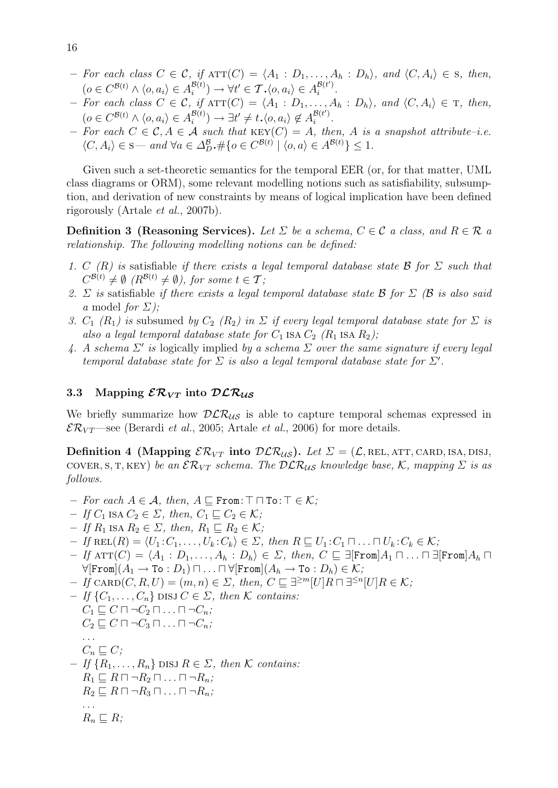- For each class  $C \in \mathcal{C}$ , if  $ATT(C) = \langle A_1 : D_1, \ldots, A_h : D_h \rangle$ , and  $\langle C, A_i \rangle \in S$ , then,  $(o \in C^{\mathcal{B}(t)} \land \langle o, a_i \rangle \in A_i^{\mathcal{B}(t)}$  $\mathcal{L}^{(\mathcal{B}(t))}_{i} \to \forall t' \in \mathcal{T} \cdot \langle o, a_i \rangle \in A_i^{\mathcal{B}(t')}$  $\frac{\mathcal{D}(U)}{i}$ .
- $-$  For each class  $C \in \mathcal{C}$ , if  $ATT(C) = \langle A_1 : D_1, \ldots, A_h : D_h \rangle$ , and  $\langle C, A_i \rangle \in \mathcal{T}$ , then,  $(o \in C^{\mathcal{B}(t)} \land \langle o, a_i \rangle \in A_i^{\mathcal{B}(t)}$  $\mathcal{L}^{(\mathcal{B}(t))}_{i}$   $\rightarrow$   $\exists t' \neq t \cdot \langle o, a_i \rangle \notin A_i^{\mathcal{B}(t')}$  $\frac{\mathcal{D}(U)}{i}$ .
- For each  $C \in \mathcal{C}, A \in \mathcal{A}$  such that  $KEY(C) = A$ , then, A is a snapshot attribute–i.e.  $\langle C, A_i \rangle \in \mathcal{S}$  and  $\forall a \in \Delta_D^{\mathcal{B}}$ . # $\{o \in C^{\mathcal{B}(t)} \mid \langle o, a \rangle \in A^{\mathcal{B}(t)} \} \leq 1$ .

Given such a set-theoretic semantics for the temporal EER (or, for that matter, UML class diagrams or ORM), some relevant modelling notions such as satisfiability, subsumption, and derivation of new constraints by means of logical implication have been defined rigorously (Artale et al., 2007b).

**Definition 3 (Reasoning Services).** Let  $\Sigma$  be a schema,  $C \in \mathcal{C}$  a class, and  $R \in \mathcal{R}$  a relationship. The following modelling notions can be defined:

- 1. C (R) is satisfiable if there exists a legal temporal database state  $\mathcal{B}$  for  $\Sigma$  such that  $C^{B(t)} \neq \emptyset$  ( $R^{B(t)} \neq \emptyset$ ), for some  $t \in \mathcal{T}$ ;
- 2. Σ is satisfiable if there exists a legal temporal database state B for  $\Sigma$  (B is also said a model for  $\Sigma$ );
- 3.  $C_1$  (R<sub>1</sub>) is subsumed by  $C_2$  (R<sub>2</sub>) in  $\Sigma$  if every legal temporal database state for  $\Sigma$  is also a legal temporal database state for  $C_1$  ISA  $C_2$   $(R_1$  ISA  $R_2)$ ;
- 4. A schema  $\Sigma'$  is logically implied by a schema  $\Sigma$  over the same signature if every legal temporal database state for  $\Sigma$  is also a legal temporal database state for  $\Sigma'$ .

### 3.3 Mapping  $\mathcal{ER}_{VT}$  into  $\mathcal{DLR}_{US}$

We briefly summarize how  $D\mathcal{L}R_{\mathcal{U}\mathcal{S}}$  is able to capture temporal schemas expressed in  $\mathcal{ER}_{VT}$ —see (Berardi *et al.*, 2005; Artale *et al.*, 2006) for more details.

Definition 4 (Mapping  $\mathcal{ER}_{VT}$  into  $\mathcal{DLR}_{US}$ ). Let  $\Sigma = (\mathcal{L}, \text{REL}, \text{ATT}, \text{CARD}, \text{ISA}, \text{DISJ},$ COVER, S, T, KEY) be an  $\mathcal{ER}_{VT}$  schema. The  $\mathcal{DLR}_{US}$  knowledge base, K, mapping  $\Sigma$  is as follows.

- For each  $A \in \mathcal{A}$ , then,  $A \sqsubset \text{From:} \top \sqcap \text{To:} \top \in \mathcal{K}$ ;
- If  $C_1$  is  $C_2 \in \Sigma$ , then,  $C_1 \sqsubseteq C_2 \in \mathcal{K}$ ;
- If  $R_1$  isa  $R_2 \in \Sigma$ , then,  $R_1 \sqsubseteq R_2 \in \mathcal{K}$ ;
- $-If \text{ REL}(R) = \langle U_1 : C_1, \ldots, U_k : C_k \rangle \in \Sigma$ , then  $R \sqsubseteq U_1 : C_1 \sqcap \ldots \sqcap U_k : C_k \in \mathcal{K}$ ;
- $-$  If  $\text{ATT}(C) = \langle A_1 : D_1, \ldots, A_h : D_h \rangle \in \Sigma$ , then,  $C \sqsubseteq \exists [\text{From} | A_1 \sqcap \ldots \sqcap \exists [\text{From} | A_h \sqcap$  $\forall$ [From] $(A_1 \rightarrow \texttt{To} : D_1) \sqcap \ldots \sqcap \forall$ [From] $(A_h \rightarrow \texttt{To} : D_h) \in \mathcal{K}$ ;
- $-If \text{ CARD}(C, R, U) = (m, n) \in \Sigma$ , then,  $C \sqsubseteq \exists^{\ge m} [U]R \sqcap \exists^{\le n} [U]R \in \mathcal{K}$ ;
- $-If\$   $\{C_1,\ldots,C_n\}$  DISJ  $C \in \Sigma$ , then K contains:  $C_1 \sqsubseteq C \sqcap \neg C_2 \sqcap \ldots \sqcap \neg C_n;$  $C_2 \sqsubseteq C \sqcap \neg C_3 \sqcap \ldots \sqcap \neg C_n;$ . . .  $C_n \sqsubset C$ :  $-If\{R_1,\ldots,R_n\}$  DISJ  $R \in \Sigma$ , then K contains:  $R_1 \sqsubseteq R \sqcap \neg R_2 \sqcap \ldots \sqcap \neg R_n;$ 
	- $R_2 \sqsubset R \sqcap \neg R_3 \sqcap \ldots \sqcap \neg R_n;$

$$
R_n \sqsubseteq R;
$$

. . .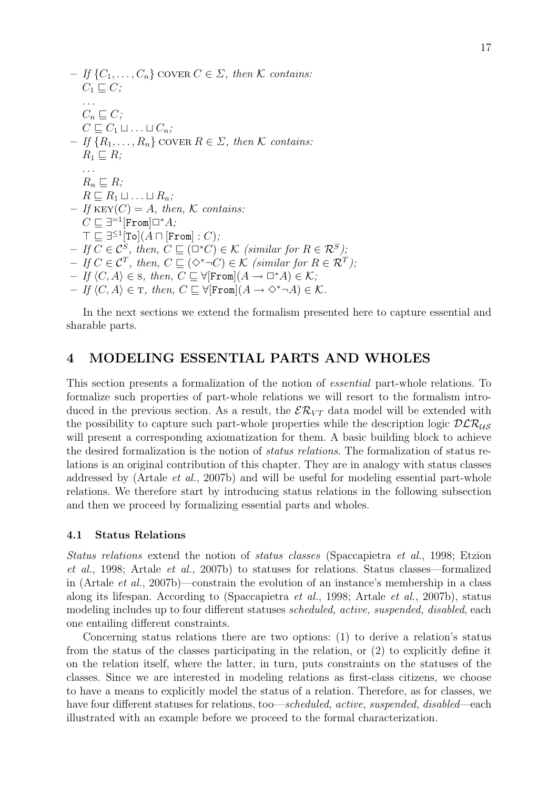$-If\{C_1,\ldots,C_n\}$  COVER  $C \in \Sigma$ , then K contains:  $C_1 \sqsubseteq C;$ . . .  $C_n \sqsubseteq C;$  $C \sqsubseteq C_1 \sqcup \ldots \sqcup C_n;$  $-If\{R_1,\ldots,R_n\}$  COVER  $R\in\Sigma$ , then K contains:  $R_1 \sqsubset R;$ . . .  $R_n \sqsubseteq R;$  $R \sqsubseteq R_1 \sqcup \ldots \sqcup R_n;$ – If  $KEY(C) = A$ , then, K contains:  $C \sqsubset \exists^{-1}$ [From] $\Box^*A$ ;  $\top \sqsubseteq \exists^{\leq 1} [\texttt{To}](A \sqcap [\texttt{From}] : C);$  $-If C \in \mathcal{C}^S$ , then,  $C \sqsubseteq (\square^* C) \in \mathcal{K}$  (similar for  $R \in \mathcal{R}^S$ );  $-If C \in \mathcal{C}^{T}$ , then,  $C \sqsubseteq (\Diamond^* \neg C) \in \mathcal{K}$  (similar for  $R \in \mathcal{R}^{T}$ );  $-If(C, A) \in S$ , then,  $C \sqsubseteq \forall$ [From] $(A \rightarrow \Box^*A) \in \mathcal{K}$ ;  $-If(C, A) \in T$ , then,  $C \sqsubseteq \forall$ [From] $(A \rightarrow \Diamond^* \neg A) \in \mathcal{K}$ .

In the next sections we extend the formalism presented here to capture essential and sharable parts.

### 4 MODELING ESSENTIAL PARTS AND WHOLES

This section presents a formalization of the notion of essential part-whole relations. To formalize such properties of part-whole relations we will resort to the formalism introduced in the previous section. As a result, the  $\mathcal{ER}_{VT}$  data model will be extended with the possibility to capture such part-whole properties while the description logic  $DLR_{US}$ will present a corresponding axiomatization for them. A basic building block to achieve the desired formalization is the notion of status relations. The formalization of status relations is an original contribution of this chapter. They are in analogy with status classes addressed by (Artale et al., 2007b) and will be useful for modeling essential part-whole relations. We therefore start by introducing status relations in the following subsection and then we proceed by formalizing essential parts and wholes.

#### 4.1 Status Relations

Status relations extend the notion of status classes (Spaccapietra et al., 1998; Etzion et al., 1998; Artale et al., 2007b) to statuses for relations. Status classes—formalized in (Artale et al., 2007b)—constrain the evolution of an instance's membership in a class along its lifespan. According to (Spaccapietra et al., 1998; Artale et al., 2007b), status modeling includes up to four different statuses scheduled, active, suspended, disabled, each one entailing different constraints.

Concerning status relations there are two options: (1) to derive a relation's status from the status of the classes participating in the relation, or (2) to explicitly define it on the relation itself, where the latter, in turn, puts constraints on the statuses of the classes. Since we are interested in modeling relations as first-class citizens, we choose to have a means to explicitly model the status of a relation. Therefore, as for classes, we have four different statuses for relations, too—scheduled, active, suspended, disabled—each illustrated with an example before we proceed to the formal characterization.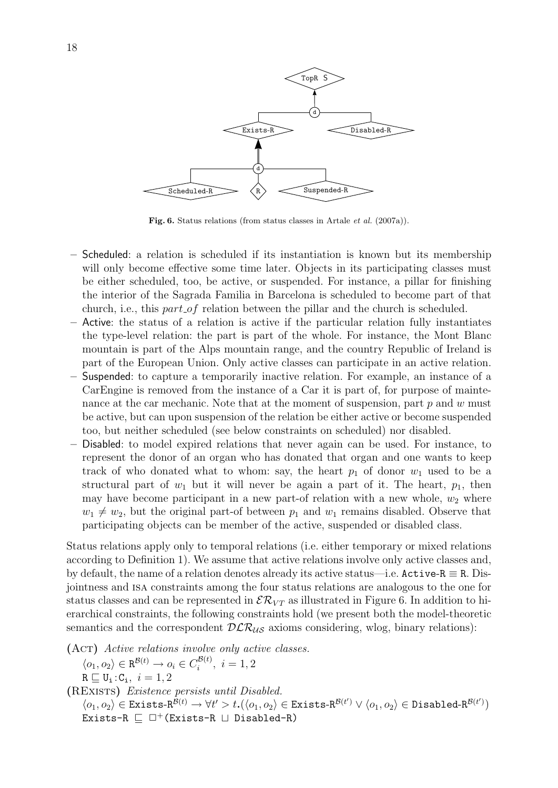

Fig. 6. Status relations (from status classes in Artale et al. (2007a)).

- Scheduled: a relation is scheduled if its instantiation is known but its membership will only become effective some time later. Objects in its participating classes must be either scheduled, too, be active, or suspended. For instance, a pillar for finishing the interior of the Sagrada Familia in Barcelona is scheduled to become part of that church, i.e., this  $part\_of$  relation between the pillar and the church is scheduled.
- Active: the status of a relation is active if the particular relation fully instantiates the type-level relation: the part is part of the whole. For instance, the Mont Blanc mountain is part of the Alps mountain range, and the country Republic of Ireland is part of the European Union. Only active classes can participate in an active relation.
- Suspended: to capture a temporarily inactive relation. For example, an instance of a CarEngine is removed from the instance of a Car it is part of, for purpose of maintenance at the car mechanic. Note that at the moment of suspension, part  $p$  and  $w$  must be active, but can upon suspension of the relation be either active or become suspended too, but neither scheduled (see below constraints on scheduled) nor disabled.
- Disabled: to model expired relations that never again can be used. For instance, to represent the donor of an organ who has donated that organ and one wants to keep track of who donated what to whom: say, the heart  $p_1$  of donor  $w_1$  used to be a structural part of  $w_1$  but it will never be again a part of it. The heart,  $p_1$ , then may have become participant in a new part-of relation with a new whole,  $w_2$  where  $w_1 \neq w_2$ , but the original part-of between  $p_1$  and  $w_1$  remains disabled. Observe that participating objects can be member of the active, suspended or disabled class.

Status relations apply only to temporal relations (i.e. either temporary or mixed relations according to Definition 1). We assume that active relations involve only active classes and, by default, the name of a relation denotes already its active status—i.e.  $\texttt{Active-R} \equiv \texttt{R}$ . Disjointness and isa constraints among the four status relations are analogous to the one for status classes and can be represented in  $\mathcal{ER}_{VT}$  as illustrated in Figure 6. In addition to hierarchical constraints, the following constraints hold (we present both the model-theoretic semantics and the correspondent  $DLR_{US}$  axioms considering, wlog, binary relations):

(ACT) Active relations involve only active classes.  $\langle o_1, o_2 \rangle \in \mathbb{R}^{\mathcal{B}(t)} \to o_i \in C_i^{\mathcal{B}(t)}$  $i^{D(t)}$ ,  $i = 1, 2$  $R \sqsubseteq U_i : C_i, i = 1, 2$ (RExists) Existence persists until Disabled.  $\langle o_1, o_2 \rangle \in \texttt{Exists-R}^{\mathcal{B}(t)} \rightarrow \forall t' > t. (\langle o_1, o_2 \rangle \in \texttt{Exists-R}^{\mathcal{B}(t')} \lor \langle o_1, o_2 \rangle \in \texttt{Disabled-R}^{\mathcal{B}(t')})$ Exists-R  $\sqsubseteq$   $\Box^+$ (Exists-R  $\sqcup$  Disabled-R)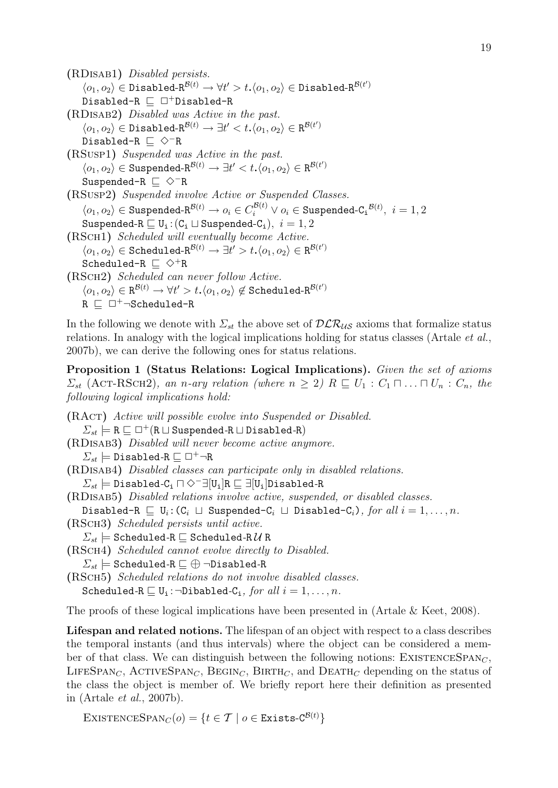(RDisab1) Disabled persists.  $\langle o_1, o_2 \rangle \in \texttt{Disabled-R}^{\mathcal{B}(t)} \rightarrow \forall t' > t.\langle o_1, o_2 \rangle \in \texttt{Disabled-R}^{\mathcal{B}(t')}$ Disabled-R  $\sqsubset \sqcup^+$ Disabled-R (RDisab2) Disabled was Active in the past.  $\langle o_1, o_2 \rangle \in \texttt{Disabled-R}^{\mathcal{B}(t)} \rightarrow \exists t' < t. \langle o_1, o_2 \rangle \in \texttt{R}^{\mathcal{B}(t')}$ Disabled-R  $\sqsubset \Diamond^{-}R$ (RSusp1) Suspended was Active in the past.  $\langle o_1, o_2 \rangle \in \text{Suspended-R}^{\mathcal{B}(t)} \rightarrow \exists t' < t. \langle o_1, o_2 \rangle \in \text{R}^{\mathcal{B}(t')}$ Suspended-R  $\sqsubseteq$   $\diamond$ <sup>-</sup>R (RSusp2) Suspended involve Active or Suspended Classes.  $\langle o_1, o_2 \rangle \in \texttt{Suspended-R}^{\mathcal{B}(t)} \rightarrow o_i \in C_i^{\mathcal{B}(t)} \lor o_i \in \texttt{Suspended-Ci}^{\mathcal{B}(t)}, \,\, i=1,2$ Suspended-R  $\Box$  U<sub>i</sub>: (C<sub>i</sub>  $\Box$  Suspended-C<sub>i</sub>),  $i = 1, 2$ (RSch1) Scheduled will eventually become Active.  $\langle o_1, o_2 \rangle \in \texttt{Scheduled-R}^{\mathcal{B}(t)} \rightarrow \exists t' > t.\langle o_1, o_2 \rangle \in \text{R}^{\mathcal{B}(t')}$ Scheduled-R  $\sqsubset \Diamond^+$ R (RSch2) Scheduled can never follow Active.  $\langle o_1, o_2 \rangle \in \texttt{R}^{\mathcal{B}(t)} \to \forall t' > t. \langle o_1, o_2 \rangle \not\in \texttt{Scheduled-R}^{\mathcal{B}(t')}$  $R \sqsubset \Box^+ \neg \text{Scheduling}_d - R$ 

In the following we denote with  $\Sigma_{st}$  the above set of  $\mathcal{DLR}_{US}$  axioms that formalize status relations. In analogy with the logical implications holding for status classes (Artale et al., 2007b), we can derive the following ones for status relations.

Proposition 1 (Status Relations: Logical Implications). Given the set of axioms  $\Sigma_{st}$  (ACT-RSCH2), an n-ary relation (where  $n \geq 2$ )  $R \sqsubseteq U_1 : C_1 \sqcap ... \sqcap U_n : C_n$ , the following logical implications hold:

- (RACT) Active will possible evolve into Suspended or Disabled.  $\Sigma_{st} \models R \sqsubseteq \Box^+(R \sqcup {\tt Suspended\text{-}R} \sqcup {\tt Disabled\text{-}R})$
- (RDISAB3) Disabled will never become active anymore.

 $\Sigma_{st} \models$  Disabled-R  $\sqsubset \Box^+ \neg R$ 

- (RDISAB4) Disabled classes can participate only in disabled relations.  $\Sigma_{st} \models$  Disabled-C<sub>i</sub>  $\Box \diamond$ <sup>-</sup>∃[U<sub>i</sub>]R  $\Box$  ∃[U<sub>i</sub>]Disabled-R
- (RDisab5) Disabled relations involve active, suspended, or disabled classes.

Disabled-R  $\sqsubseteq U_i: (C_i \sqcup \text{Suspended}-C_i \sqcup \text{Disabled}-C_i)$ , for all  $i = 1, ..., n$ . (RSch3) Scheduled persists until active.

- $\Sigma_{st} \models$  Scheduled-R  $\sqsubseteq$  Scheduled-R  $\mathcal U$  R
- (RSch4) Scheduled cannot evolve directly to Disabled.
- $\Sigma_{st} \models$  Scheduled-R  $\sqsubseteq \oplus$  ¬Disabled-R
- (RSch5) Scheduled relations do not involve disabled classes. Scheduled-R  $\sqsubseteq U_i$ : $\neg$ Dibabled-C<sub>i</sub>, for all  $i = 1, ..., n$ .

The proofs of these logical implications have been presented in (Artale & Keet, 2008).

Lifespan and related notions. The lifespan of an object with respect to a class describes the temporal instants (and thus intervals) where the object can be considered a member of that class. We can distinguish between the following notions:  $EXISTENCESPAN<sub>C</sub>$ , LIFESPAN<sub>C</sub>, ACTIVESPAN<sub>C</sub>, BEGIN<sub>C</sub>, BIRTH<sub>C</sub>, and DEATH<sub>C</sub> depending on the status of the class the object is member of. We briefly report here their definition as presented in (Artale et al., 2007b).

EXISTENCESPAN $_C(o) = \{ t \in \mathcal{T} \mid o \in \text{Exists-C}^{\mathcal{B}(t)} \}$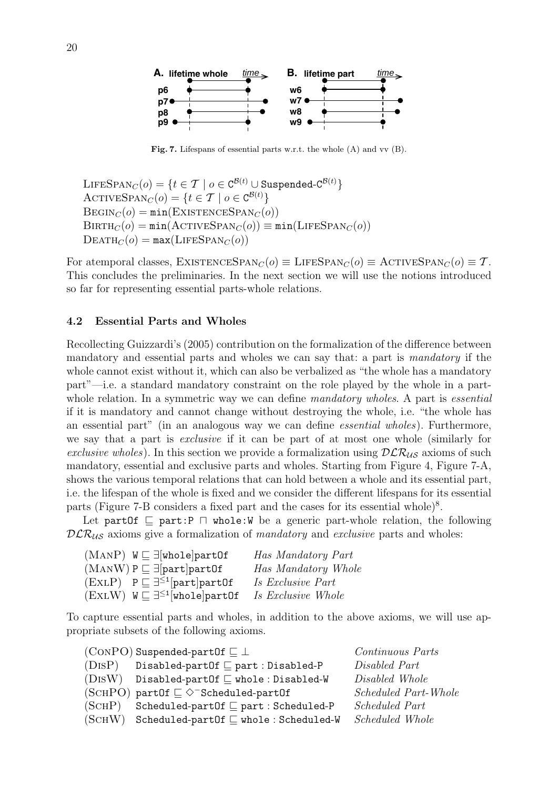

Fig. 7. Lifespans of essential parts w.r.t. the whole (A) and vv (B).

 $\text{LIFESPAN}_C(o) = \{t \in \mathcal{T} \mid o \in \text{C}^{\mathcal{B}(t)} \cup \text{Suspended-C}^{\mathcal{B}(t)}\}$ ACTIVESPAN<sub>C</sub> $(o) = \{ t \in \mathcal{T} \mid o \in \mathcal{C}^{\mathcal{B}(t)} \}$  $\text{BEGIN}_C(o) = \min(\text{EXISTENCESPAN}_C(o))$  $BIRTH_C(o) = min(ACTIVESPAN_C(o)) \equiv min(LIFESPAN_C(o))$  $\text{DEATH}_C(o) = \max(\text{LIFESPAN}_C(o))$ 

For atemporal classes, EXISTENCESPAN<sub>C</sub>(o)  $\equiv$  LIFESPAN<sub>C</sub>(o)  $\equiv$  ACTIVESPAN<sub>C</sub>(o)  $\equiv$  T. This concludes the preliminaries. In the next section we will use the notions introduced so far for representing essential parts-whole relations.

#### 4.2 Essential Parts and Wholes

Recollecting Guizzardi's (2005) contribution on the formalization of the difference between mandatory and essential parts and wholes we can say that: a part is mandatory if the whole cannot exist without it, which can also be verbalized as "the whole has a mandatory part"—i.e. a standard mandatory constraint on the role played by the whole in a partwhole relation. In a symmetric way we can define *mandatory wholes*. A part is *essential* if it is mandatory and cannot change without destroying the whole, i.e. "the whole has an essential part" (in an analogous way we can define essential wholes). Furthermore, we say that a part is exclusive if it can be part of at most one whole (similarly for exclusive wholes). In this section we provide a formalization using  $DLR_{US}$  axioms of such mandatory, essential and exclusive parts and wholes. Starting from Figure 4, Figure 7-A, shows the various temporal relations that can hold between a whole and its essential part, i.e. the lifespan of the whole is fixed and we consider the different lifespans for its essential parts (Figure 7-B considers a fixed part and the cases for its essential whole)<sup>8</sup>.

Let partOf  $\sqsubset$  part:P  $\sqcap$  whole:W be a generic part-whole relation, the following  $DLR_{US}$  axioms give a formalization of *mandatory* and *exclusive* parts and wholes:

| $(MANP)$ $W \sqsubseteq \exists$ [whole]partOf          | Has Mandatory Part        |
|---------------------------------------------------------|---------------------------|
| $(MANW)$ $P \sqsubseteq \exists [part]$ part $0f$       | Has Mandatory Whole       |
| $(EXLP)$ $P \sqsubseteq \exists^{\leq 1}$ [part]part0f  | <i>Is Exclusive Part</i>  |
| $(EXLW)$ $W \sqsubseteq \exists^{\leq 1}$ [whole]partOf | <i>Is Exclusive Whole</i> |

To capture essential parts and wholes, in addition to the above axioms, we will use appropriate subsets of the following axioms.

| $(ConPO)$ Suspended-partOf $\Box \bot$                      | Continuous Parts      |
|-------------------------------------------------------------|-----------------------|
| (DISP)<br>Disabled-partOf $\sqsubseteq$ part : Disabled-P   | Disabled Part         |
| $(DISW)$ Disabled-partOf $\sqsubseteq$ whole: Disabled-W    | Disabled Whole        |
| $(SCHPO)$ partOf $\Box$ $\diamond$ Scheduled-partOf         | Scheduled Part-Whole  |
| (SCHP)<br>Scheduled-partOf $\sqsubseteq$ part : Scheduled-P | <i>Scheduled Part</i> |
| (SCHW)<br>Scheduled-partOf $\Box$ whole: Scheduled-W        | Scheduled Whole       |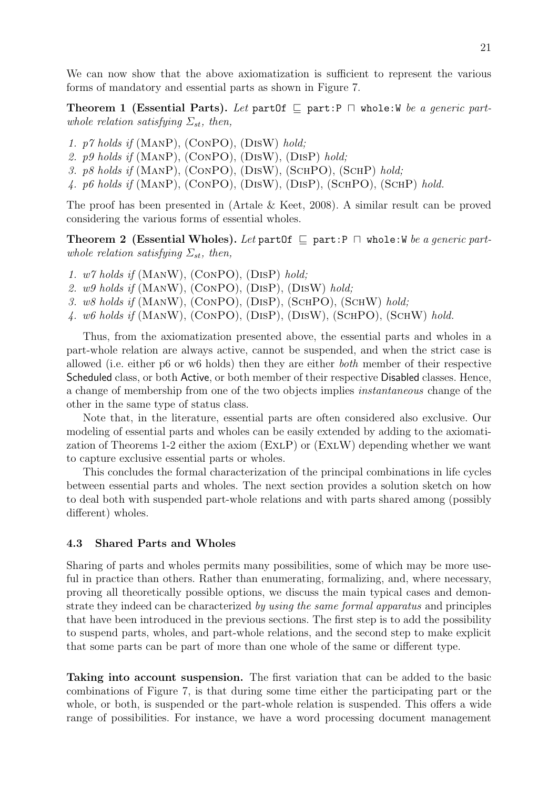We can now show that the above axiomatization is sufficient to represent the various forms of mandatory and essential parts as shown in Figure 7.

Theorem 1 (Essential Parts). Let partOf  $\Box$  part:P  $\Box$  whole:W be a generic partwhole relation satisfying  $\Sigma_{st}$ , then,

- 1. p7 holds if (ManP), (ConPO), (DisW) hold;
- 2. p9 holds if  $(MANP)$ ,  $(ConPO)$ ,  $(DISW)$ ,  $(DISP)$  hold;
- 3. p8 holds if (ManP), (ConPO), (DisW), (SchPO), (SchP) hold;
- 4. p6 holds if (ManP), (ConPO), (DisW), (DisP), (SchPO), (SchP) hold.

The proof has been presented in (Artale & Keet, 2008). A similar result can be proved considering the various forms of essential wholes.

Theorem 2 (Essential Wholes). Let partOf  $\subseteq$  part:P  $\sqcap$  whole:W be a generic partwhole relation satisfying  $\Sigma_{st}$ , then,

- 1. w7 holds if (ManW), (ConPO), (DisP) hold;
- 2. w9 holds if (ManW), (ConPO), (DisP), (DisW) hold;
- 3. w8 holds if (MANW), (CONPO), (DISP), (SCHPO), (SCHW) hold;
- 4. w6 holds if (ManW), (ConPO), (DisP), (DisW), (SchPO), (SchW) hold.

Thus, from the axiomatization presented above, the essential parts and wholes in a part-whole relation are always active, cannot be suspended, and when the strict case is allowed (i.e. either p6 or w6 holds) then they are either both member of their respective Scheduled class, or both Active, or both member of their respective Disabled classes. Hence, a change of membership from one of the two objects implies instantaneous change of the other in the same type of status class.

Note that, in the literature, essential parts are often considered also exclusive. Our modeling of essential parts and wholes can be easily extended by adding to the axiomatization of Theorems 1-2 either the axiom  $(ExLP)$  or  $(ExLW)$  depending whether we want to capture exclusive essential parts or wholes.

This concludes the formal characterization of the principal combinations in life cycles between essential parts and wholes. The next section provides a solution sketch on how to deal both with suspended part-whole relations and with parts shared among (possibly different) wholes.

#### 4.3 Shared Parts and Wholes

Sharing of parts and wholes permits many possibilities, some of which may be more useful in practice than others. Rather than enumerating, formalizing, and, where necessary, proving all theoretically possible options, we discuss the main typical cases and demonstrate they indeed can be characterized by using the same formal apparatus and principles that have been introduced in the previous sections. The first step is to add the possibility to suspend parts, wholes, and part-whole relations, and the second step to make explicit that some parts can be part of more than one whole of the same or different type.

Taking into account suspension. The first variation that can be added to the basic combinations of Figure 7, is that during some time either the participating part or the whole, or both, is suspended or the part-whole relation is suspended. This offers a wide range of possibilities. For instance, we have a word processing document management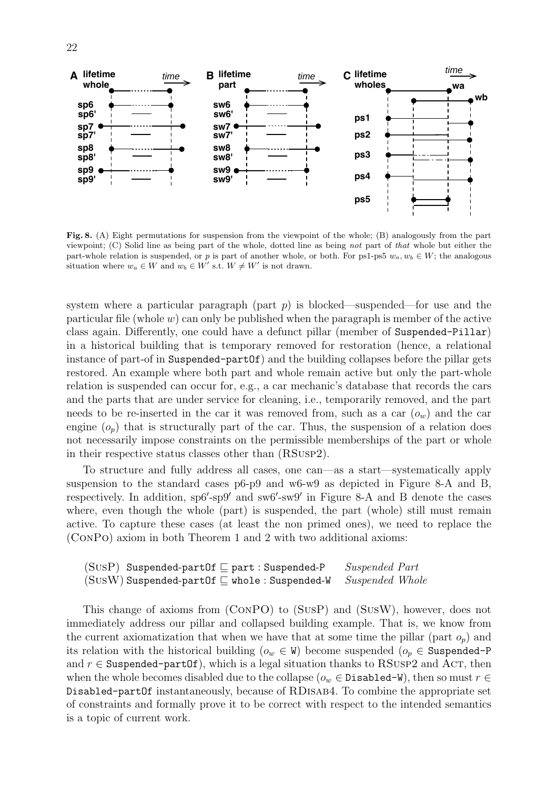

Fig. 8. (A) Eight permutations for suspension from the viewpoint of the whole; (B) analogously from the part viewpoint; (C) Solid line as being part of the whole, dotted line as being not part of that whole but either the part-whole relation is suspended, or p is part of another whole, or both. For ps1-ps5  $w_a, w_b \in W$ ; the analogous situation where  $w_a \in W$  and  $w_b \in W'$  s.t.  $W \neq W'$  is not drawn.

system where a particular paragraph (part  $p$ ) is blocked—suspended—for use and the particular file (whole  $w$ ) can only be published when the paragraph is member of the active class again. Differently, one could have a defunct pillar (member of Suspended-Pillar) in a historical building that is temporary removed for restoration (hence, a relational instance of part-of in Suspended-partOf) and the building collapses before the pillar gets restored. An example where both part and whole remain active but only the part-whole relation is suspended can occur for, e.g., a car mechanic's database that records the cars and the parts that are under service for cleaning, i.e., temporarily removed, and the part needs to be re-inserted in the car it was removed from, such as a car  $(o_w)$  and the car engine  $(o_n)$  that is structurally part of the car. Thus, the suspension of a relation does not necessarily impose constraints on the permissible memberships of the part or whole in their respective status classes other than (RSusp2).

To structure and fully address all cases, one can—as a start—systematically apply suspension to the standard cases p6-p9 and w6-w9 as depicted in Figure 8-A and B, respectively. In addition,  $sp6'-sp9'$  and  $sw6'-sw9'$  in Figure 8-A and B denote the cases where, even though the whole (part) is suspended, the part (whole) still must remain active. To capture these cases (at least the non primed ones), we need to replace the (ConPo) axiom in both Theorem 1 and 2 with two additional axioms:

| $(Susp)$ Suspended-partOf $\sqsubseteq$ part : Suspended-P                                | Suspended Part |
|-------------------------------------------------------------------------------------------|----------------|
| ${\rm (SusW)}$ Suspended-partOf $\sqsubseteq$ whole : Suspended-W $\quad$ Suspended Whole |                |

This change of axioms from (ConPO) to (SusP) and (SusW), however, does not immediately address our pillar and collapsed building example. That is, we know from the current axiomatization that when we have that at some time the pillar (part  $o_p$ ) and its relation with the historical building ( $o_w \in W$ ) become suspended ( $o_p \in$  Suspended-P and  $r \in$  Suspended-partOf), which is a legal situation thanks to RSUSP2 and ACT, then when the whole becomes disabled due to the collapse ( $o_w \in \text{Disabled-W}$ ), then so must  $r \in$ Disabled-partOf instantaneously, because of RDISAB4. To combine the appropriate set of constraints and formally prove it to be correct with respect to the intended semantics is a topic of current work.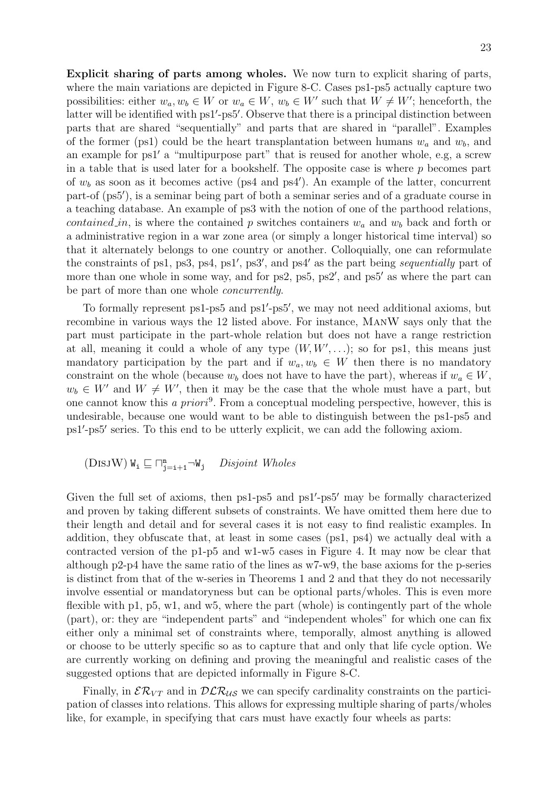Explicit sharing of parts among wholes. We now turn to explicit sharing of parts, where the main variations are depicted in Figure 8-C. Cases ps1-ps5 actually capture two possibilities: either  $w_a, w_b \in W$  or  $w_a \in W$ ,  $w_b \in W'$  such that  $W \neq W'$ ; henceforth, the latter will be identified with ps1'-ps5'. Observe that there is a principal distinction between parts that are shared "sequentially" and parts that are shared in "parallel". Examples of the former (ps1) could be the heart transplantation between humans  $w_a$  and  $w_b$ , and an example for  $ps1'$  a "multipurpose part" that is reused for another whole, e.g, a screw in a table that is used later for a bookshelf. The opposite case is where  $p$  becomes part of  $w_b$  as soon as it becomes active (ps4 and ps4'). An example of the latter, concurrent part-of (ps5'), is a seminar being part of both a seminar series and of a graduate course in a teaching database. An example of ps3 with the notion of one of the parthood relations, *contained in*, is where the contained p switches containers  $w_a$  and  $w_b$  back and forth or a administrative region in a war zone area (or simply a longer historical time interval) so that it alternately belongs to one country or another. Colloquially, one can reformulate the constraints of ps1, ps3, ps4, ps1', ps3', and ps4' as the part being sequentially part of more than one whole in some way, and for ps2, ps5, ps2', and ps5' as where the part can be part of more than one whole concurrently.

To formally represent ps1-ps5 and ps1'-ps5', we may not need additional axioms, but recombine in various ways the 12 listed above. For instance, ManW says only that the part must participate in the part-whole relation but does not have a range restriction at all, meaning it could a whole of any type  $(W, W', \ldots)$ ; so for ps1, this means just mandatory participation by the part and if  $w_a, w_b \in W$  then there is no mandatory constraint on the whole (because  $w_b$  does not have to have the part), whereas if  $w_a \in W$ ,  $w_b \in W'$  and  $W \neq W'$ , then it may be the case that the whole must have a part, but one cannot know this *a priori*<sup>9</sup>. From a conceptual modeling perspective, however, this is undesirable, because one would want to be able to distinguish between the ps1-ps5 and ps1'-ps5' series. To this end to be utterly explicit, we can add the following axiom.

$$
(DisJW) W_i \sqsubseteq \sqcap_{j=i+1}^n \neg W_j \quad \text{Disjoint Wholes}
$$

Given the full set of axioms, then ps1-ps5 and ps1'-ps5' may be formally characterized and proven by taking different subsets of constraints. We have omitted them here due to their length and detail and for several cases it is not easy to find realistic examples. In addition, they obfuscate that, at least in some cases (ps1, ps4) we actually deal with a contracted version of the p1-p5 and w1-w5 cases in Figure 4. It may now be clear that although p2-p4 have the same ratio of the lines as w7-w9, the base axioms for the p-series is distinct from that of the w-series in Theorems 1 and 2 and that they do not necessarily involve essential or mandatoryness but can be optional parts/wholes. This is even more flexible with  $p1$ ,  $p5$ ,  $w1$ , and  $w5$ , where the part (whole) is contingently part of the whole (part), or: they are "independent parts" and "independent wholes" for which one can fix either only a minimal set of constraints where, temporally, almost anything is allowed or choose to be utterly specific so as to capture that and only that life cycle option. We are currently working on defining and proving the meaningful and realistic cases of the suggested options that are depicted informally in Figure 8-C.

Finally, in  $\mathcal{ER}_{VT}$  and in  $\mathcal{DLR}_{US}$  we can specify cardinality constraints on the participation of classes into relations. This allows for expressing multiple sharing of parts/wholes like, for example, in specifying that cars must have exactly four wheels as parts: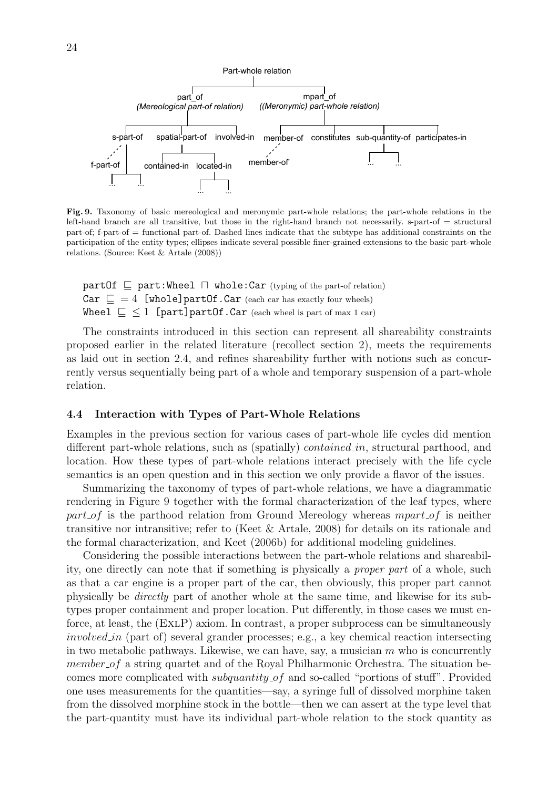

Fig. 9. Taxonomy of basic mereological and meronymic part-whole relations; the part-whole relations in the left-hand branch are all transitive, but those in the right-hand branch not necessarily. s-part-of = structural part-of; f-part-of = functional part-of. Dashed lines indicate that the subtype has additional constraints on the participation of the entity types; ellipses indicate several possible finer-grained extensions to the basic part-whole relations. (Source: Keet & Artale (2008))

partOf  $\Box$  part:Wheel  $\Box$  whole:Car (typing of the part-of relation) Car  $\sqsubseteq$  = 4 [whole]partOf.Car (each car has exactly four wheels) Wheel  $\Box \leq 1$  [part]partOf.Car (each wheel is part of max 1 car)

The constraints introduced in this section can represent all shareability constraints proposed earlier in the related literature (recollect section 2), meets the requirements as laid out in section 2.4, and refines shareability further with notions such as concurrently versus sequentially being part of a whole and temporary suspension of a part-whole relation.

#### 4.4 Interaction with Types of Part-Whole Relations

Examples in the previous section for various cases of part-whole life cycles did mention different part-whole relations, such as (spatially) *contained in*, structural parthood, and location. How these types of part-whole relations interact precisely with the life cycle semantics is an open question and in this section we only provide a flavor of the issues.

Summarizing the taxonomy of types of part-whole relations, we have a diagrammatic rendering in Figure 9 together with the formal characterization of the leaf types, where part of is the parthood relation from Ground Mereology whereas  $mpart\_of$  is neither transitive nor intransitive; refer to (Keet & Artale, 2008) for details on its rationale and the formal characterization, and Keet (2006b) for additional modeling guidelines.

Considering the possible interactions between the part-whole relations and shareability, one directly can note that if something is physically a proper part of a whole, such as that a car engine is a proper part of the car, then obviously, this proper part cannot physically be directly part of another whole at the same time, and likewise for its subtypes proper containment and proper location. Put differently, in those cases we must enforce, at least, the (ExlP) axiom. In contrast, a proper subprocess can be simultaneously involved in (part of) several grander processes; e.g., a key chemical reaction intersecting in two metabolic pathways. Likewise, we can have, say, a musician  $m$  who is concurrently member  $of$  a string quartet and of the Royal Philharmonic Orchestra. The situation becomes more complicated with subquantity of and so-called "portions of stuff". Provided one uses measurements for the quantities—say, a syringe full of dissolved morphine taken from the dissolved morphine stock in the bottle—then we can assert at the type level that the part-quantity must have its individual part-whole relation to the stock quantity as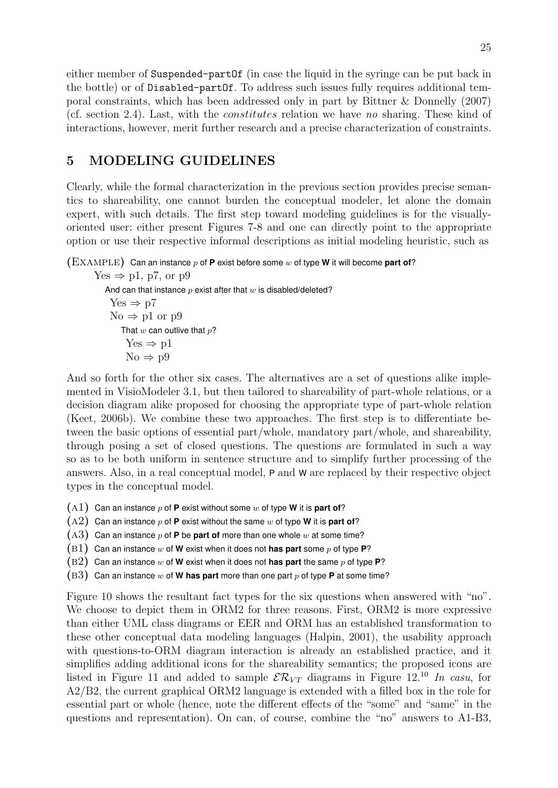either member of Suspended-partOf (in case the liquid in the syringe can be put back in the bottle) or of Disabled-partOf. To address such issues fully requires additional temporal constraints, which has been addressed only in part by Bittner & Donnelly (2007) (cf. section 2.4). Last, with the constitutes relation we have no sharing. These kind of interactions, however, merit further research and a precise characterization of constraints.

# 5 MODELING GUIDELINES

Clearly, while the formal characterization in the previous section provides precise semantics to shareability, one cannot burden the conceptual modeler, let alone the domain expert, with such details. The first step toward modeling guidelines is for the visuallyoriented user: either present Figures 7-8 and one can directly point to the appropriate option or use their respective informal descriptions as initial modeling heuristic, such as

 $(EXAMPLE)$  Can an instance p of **P** exist before some w of type **W** it will become **part of**?

 $Yes \Rightarrow p1, p7, or p9$ And can that instance  $p$  exist after that  $w$  is disabled/deleted?  $Yes \Rightarrow p7$  $\mathrm{No} \Rightarrow \mathrm{p1}$  or  $\mathrm{p9}$ That  $w$  can outlive that  $p$ ?  $Yes \Rightarrow p1$  $\mathrm{No} \Rightarrow \mathrm{p9}$ 

And so forth for the other six cases. The alternatives are a set of questions alike implemented in VisioModeler 3.1, but then tailored to shareability of part-whole relations, or a decision diagram alike proposed for choosing the appropriate type of part-whole relation (Keet, 2006b). We combine these two approaches. The first step is to differentiate between the basic options of essential part/whole, mandatory part/whole, and shareability, through posing a set of closed questions. The questions are formulated in such a way so as to be both uniform in sentence structure and to simplify further processing of the answers. Also, in a real conceptual model, P and W are replaced by their respective object types in the conceptual model.

- $(A1)$  Can an instance p of **P** exist without some w of type **W** it is **part of**?
- $(A2)$  Can an instance p of **P** exist without the same w of type **W** it is **part of**?
- $(A3)$  Can an instance p of **P** be **part of** more than one whole w at some time?
- $(B1)$  Can an instance w of **W** exist when it does not **has part** some p of type **P**?
- $(B2)$  Can an instance w of **W** exist when it does not **has part** the same p of type **P**?
- $(B3)$  Can an instance w of **W has part** more than one part p of type **P** at some time?

Figure 10 shows the resultant fact types for the six questions when answered with "no". We choose to depict them in ORM2 for three reasons. First, ORM2 is more expressive than either UML class diagrams or EER and ORM has an established transformation to these other conceptual data modeling languages (Halpin, 2001), the usability approach with questions-to-ORM diagram interaction is already an established practice, and it simplifies adding additional icons for the shareability semantics; the proposed icons are listed in Figure 11 and added to sample  $\mathcal{ER}_{VT}$  diagrams in Figure 12.<sup>10</sup> In casu, for A2/B2, the current graphical ORM2 language is extended with a filled box in the role for essential part or whole (hence, note the different effects of the "some" and "same" in the questions and representation). On can, of course, combine the "no" answers to A1-B3,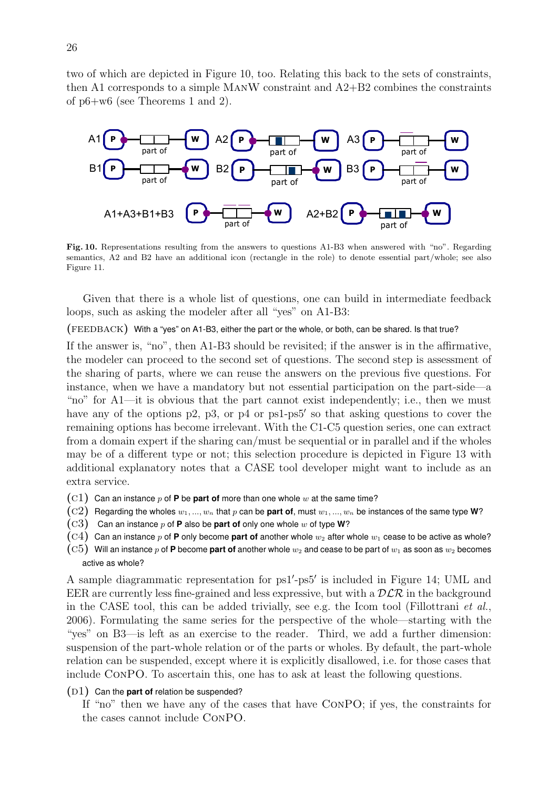two of which are depicted in Figure 10, too. Relating this back to the sets of constraints, then A1 corresponds to a simple ManW constraint and A2+B2 combines the constraints of p6+w6 (see Theorems 1 and 2).



Fig. 10. Representations resulting from the answers to questions A1-B3 when answered with "no". Regarding semantics, A2 and B2 have an additional icon (rectangle in the role) to denote essential part/whole; see also Figure 11.

Given that there is a whole list of questions, one can build in intermediate feedback loops, such as asking the modeler after all "yes" on A1-B3:

(FEEDBACK) With a "yes" on A1-B3, either the part or the whole, or both, can be shared. Is that true?

If the answer is, "no", then A1-B3 should be revisited; if the answer is in the affirmative, the modeler can proceed to the second set of questions. The second step is assessment of the sharing of parts, where we can reuse the answers on the previous five questions. For instance, when we have a mandatory but not essential participation on the part-side—a "no" for A1—it is obvious that the part cannot exist independently; i.e., then we must have any of the options  $p2$ ,  $p3$ , or  $p4$  or  $p51-p55'$  so that asking questions to cover the remaining options has become irrelevant. With the C1-C5 question series, one can extract from a domain expert if the sharing can/must be sequential or in parallel and if the wholes may be of a different type or not; this selection procedure is depicted in Figure 13 with additional explanatory notes that a CASE tool developer might want to include as an extra service.

- $\text{(C1)}$  Can an instance p of **P** be **part of** more than one whole w at the same time?
- $(C2)$  Regarding the wholes  $w_1, ..., w_n$  that p can be **part of**, must  $w_1, ..., w_n$  be instances of the same type **W**?
- $(C3)$  Can an instance p of **P** also be **part of** only one whole w of type **W**?
- $(C4)$  Can an instance p of **P** only become **part of** another whole  $w_2$  after whole  $w_1$  cease to be active as whole?
- $(C5)$  Will an instance p of **P** become **part of** another whole  $w_2$  and cease to be part of  $w_1$  as soon as  $w_2$  becomes active as whole?

A sample diagrammatic representation for ps1'-ps5' is included in Figure 14; UML and EER are currently less fine-grained and less expressive, but with a  $D\mathcal{LR}$  in the background in the CASE tool, this can be added trivially, see e.g. the Icom tool (Fillottrani et al., 2006). Formulating the same series for the perspective of the whole—starting with the "yes" on B3—is left as an exercise to the reader. Third, we add a further dimension: suspension of the part-whole relation or of the parts or wholes. By default, the part-whole relation can be suspended, except where it is explicitly disallowed, i.e. for those cases that include ConPO. To ascertain this, one has to ask at least the following questions.

### $(D1)$  Can the **part of** relation be suspended?

If "no" then we have any of the cases that have ConPO; if yes, the constraints for the cases cannot include ConPO.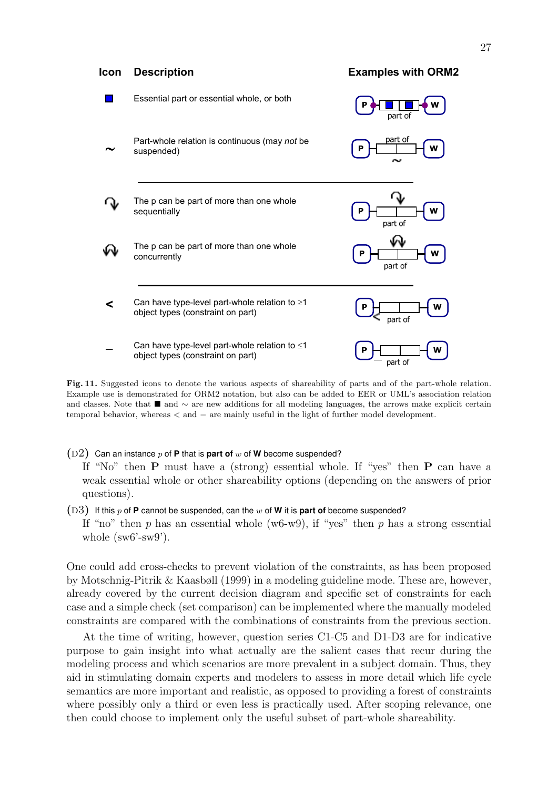

Fig. 11. Suggested icons to denote the various aspects of shareability of parts and of the part-whole relation. Example use is demonstrated for ORM2 notation, but also can be added to EER or UML's association relation and classes. Note that  $\blacksquare$  and  $\sim$  are new additions for all modeling languages, the arrows make explicit certain temporal behavior, whereas < and − are mainly useful in the light of further model development.

 $(D2)$  Can an instance p of **P** that is **part of** w of **W** become suspended?

weak essential whole or other shareability options (depending on the answers of prior If "No" then  $P$  must have a (strong) essential whole. If "yes" then  $P$  can have a questions).

 $(D3)$  If this p of **P** cannot be suspended, can the w of **W** it is **part of** become suspended? If "no" then p has an essential whole (w6-w9), if "yes" then p has a strong essential whole  $(sw6'-sw9')$ .

One could add cross-checks to prevent violation of the constraints, as has been proposed of Motselling 1 firm α Haasbor (1999) in a modeling guideline mode. These are, however, already covered by the current decision diagram and specific set of constraints for each constraints are compared with the combinations of constraints from the previous section. by Motschnig-Pitrik & Kaasbøll (1999) in a modeling guideline mode. These are, however, case and a simple check (set comparison) can be implemented where the manually modeled

where possibly only a third or even less is practically used. After scoping relevance, one then could choose to implement only the useful subset of part-whole shareability. At the time of writing, however, question series C1-C5 and D1-D3 are for indicative purpose to gain insight into what actually are the salient cases that recur during the modeling process and which scenarios are more prevalent in a subject domain. Thus, they aid in stimulating domain experts and modelers to assess in more detail which life cycle semantics are more important and realistic, as opposed to providing a forest of constraints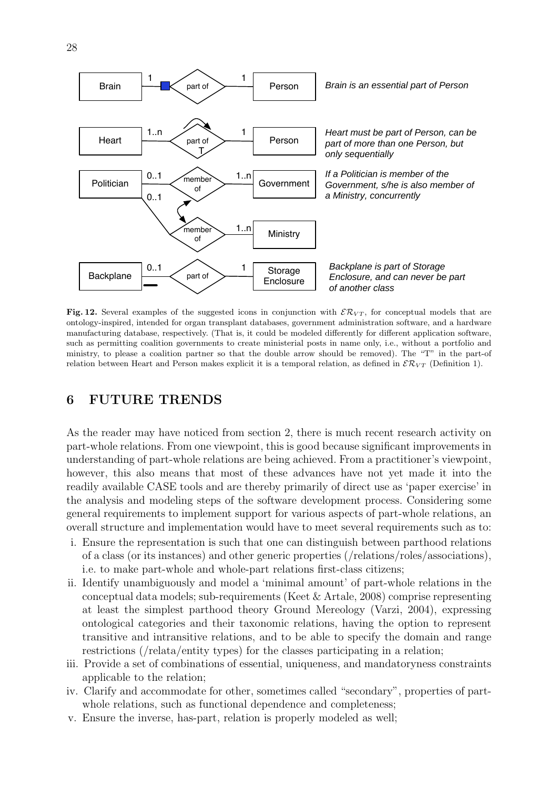

Fig. 12. Several examples of the suggested icons in conjunction with  $\mathcal{ER}_{VT}$ , for conceptual models that are ontology-inspired, intended for organ transplant databases, government administration software, and a hardware manufacturing database, respectively. (That is, it could be modeled differently for different application software, such as permitting coalition governments to create ministerial posts in name only, i.e., without a portfolio and ministry, to please a coalition partner so that the double arrow should be removed). The "T" in the part-of relation between Heart and Person makes explicit it is a temporal relation, as defined in  $\mathcal{ER}_{VT}$  (Definition 1).

## 6 FUTURE TRENDS

As the reader may have noticed from section 2, there is much recent research activity on part-whole relations. From one viewpoint, this is good because significant improvements in understanding of part-whole relations are being achieved. From a practitioner's viewpoint, however, this also means that most of these advances have not yet made it into the readily available CASE tools and are thereby primarily of direct use as 'paper exercise' in the analysis and modeling steps of the software development process. Considering some general requirements to implement support for various aspects of part-whole relations, an overall structure and implementation would have to meet several requirements such as to:

- i. Ensure the representation is such that one can distinguish between parthood relations of a class (or its instances) and other generic properties (/relations/roles/associations), i.e. to make part-whole and whole-part relations first-class citizens;
- ii. Identify unambiguously and model a 'minimal amount' of part-whole relations in the conceptual data models; sub-requirements (Keet & Artale, 2008) comprise representing at least the simplest parthood theory Ground Mereology (Varzi, 2004), expressing ontological categories and their taxonomic relations, having the option to represent transitive and intransitive relations, and to be able to specify the domain and range restrictions (/relata/entity types) for the classes participating in a relation;
- iii. Provide a set of combinations of essential, uniqueness, and mandatoryness constraints applicable to the relation;
- iv. Clarify and accommodate for other, sometimes called "secondary", properties of partwhole relations, such as functional dependence and completeness;
- v. Ensure the inverse, has-part, relation is properly modeled as well;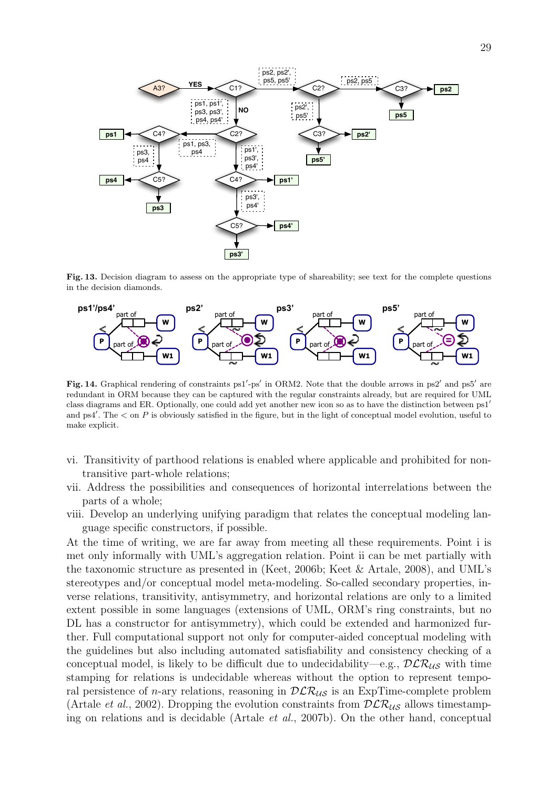

Fig. 13. Decision diagram to assess on the appropriate type of shareability; see text for the complete questions in the decision diamonds.



Fig. 14. Graphical rendering of constraints  $ps1'-ps'$  in ORM2. Note that the double arrows in  $ps2'$  and  $ps5'$  are redundant in ORM because they can be captured with the regular constraints already, but are required for UML class diagrams and ER. Optionally, one could add yet another new icon so as to have the distinction between ps1<sup>0</sup> and ps4'. The  $\lt$  on P is obviously satisfied in the figure, but in the light of conceptual model evolution, useful to make explicit.

- vi. Transitivity of parthood relations is enabled where applicable and prohibited for nontransitive part-whole relations;
- vii. Address the possibilities and consequences of horizontal interrelations between the parts of a whole;
- viii. Develop an underlying unifying paradigm that relates the conceptual modeling language specific constructors, if possible.

At the time of writing, we are far away from meeting all these requirements. Point i is met only informally with UML's aggregation relation. Point ii can be met partially with the taxonomic structure as presented in (Keet, 2006b; Keet & Artale, 2008), and UML's stereotypes and/or conceptual model meta-modeling. So-called secondary properties, inverse relations, transitivity, antisymmetry, and horizontal relations are only to a limited extent possible in some languages (extensions of UML, ORM's ring constraints, but no DL has a constructor for antisymmetry), which could be extended and harmonized further. Full computational support not only for computer-aided conceptual modeling with the guidelines but also including automated satisfiability and consistency checking of a conceptual model, is likely to be difficult due to undecidability—e.g.,  $DLR_{US}$  with time stamping for relations is undecidable whereas without the option to represent temporal persistence of *n*-ary relations, reasoning in  $DLR_{US}$  is an ExpTime-complete problem (Artale *et al.*, 2002). Dropping the evolution constraints from  $DLR_{US}$  allows timestamping on relations and is decidable (Artale et al., 2007b). On the other hand, conceptual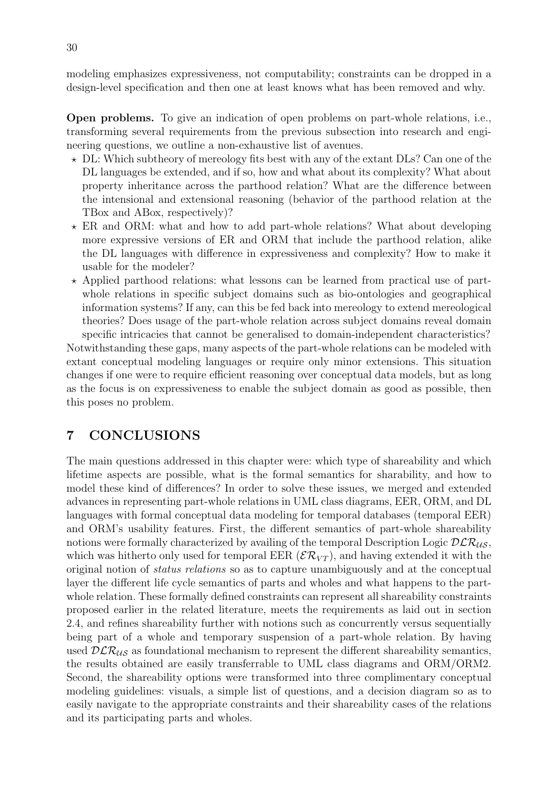modeling emphasizes expressiveness, not computability; constraints can be dropped in a design-level specification and then one at least knows what has been removed and why.

Open problems. To give an indication of open problems on part-whole relations, i.e., transforming several requirements from the previous subsection into research and engineering questions, we outline a non-exhaustive list of avenues.

- $\star$  DL: Which subtheory of mereology fits best with any of the extant DLs? Can one of the DL languages be extended, and if so, how and what about its complexity? What about property inheritance across the parthood relation? What are the difference between the intensional and extensional reasoning (behavior of the parthood relation at the TBox and ABox, respectively)?
- $\star$  ER and ORM: what and how to add part-whole relations? What about developing more expressive versions of ER and ORM that include the parthood relation, alike the DL languages with difference in expressiveness and complexity? How to make it usable for the modeler?
- $\star$  Applied parthood relations: what lessons can be learned from practical use of partwhole relations in specific subject domains such as bio-ontologies and geographical information systems? If any, can this be fed back into mereology to extend mereological theories? Does usage of the part-whole relation across subject domains reveal domain specific intricacies that cannot be generalised to domain-independent characteristics?

Notwithstanding these gaps, many aspects of the part-whole relations can be modeled with extant conceptual modeling languages or require only minor extensions. This situation changes if one were to require efficient reasoning over conceptual data models, but as long as the focus is on expressiveness to enable the subject domain as good as possible, then this poses no problem.

# 7 CONCLUSIONS

The main questions addressed in this chapter were: which type of shareability and which lifetime aspects are possible, what is the formal semantics for sharability, and how to model these kind of differences? In order to solve these issues, we merged and extended advances in representing part-whole relations in UML class diagrams, EER, ORM, and DL languages with formal conceptual data modeling for temporal databases (temporal EER) and ORM's usability features. First, the different semantics of part-whole shareability notions were formally characterized by availing of the temporal Description Logic  $D\mathcal{LR}_{US}$ , which was hitherto only used for temporal EER  $(\mathcal{ER}_{VT})$ , and having extended it with the original notion of status relations so as to capture unambiguously and at the conceptual layer the different life cycle semantics of parts and wholes and what happens to the partwhole relation. These formally defined constraints can represent all shareability constraints proposed earlier in the related literature, meets the requirements as laid out in section 2.4, and refines shareability further with notions such as concurrently versus sequentially being part of a whole and temporary suspension of a part-whole relation. By having used  $DLR_{US}$  as foundational mechanism to represent the different shareability semantics, the results obtained are easily transferrable to UML class diagrams and ORM/ORM2. Second, the shareability options were transformed into three complimentary conceptual modeling guidelines: visuals, a simple list of questions, and a decision diagram so as to easily navigate to the appropriate constraints and their shareability cases of the relations and its participating parts and wholes.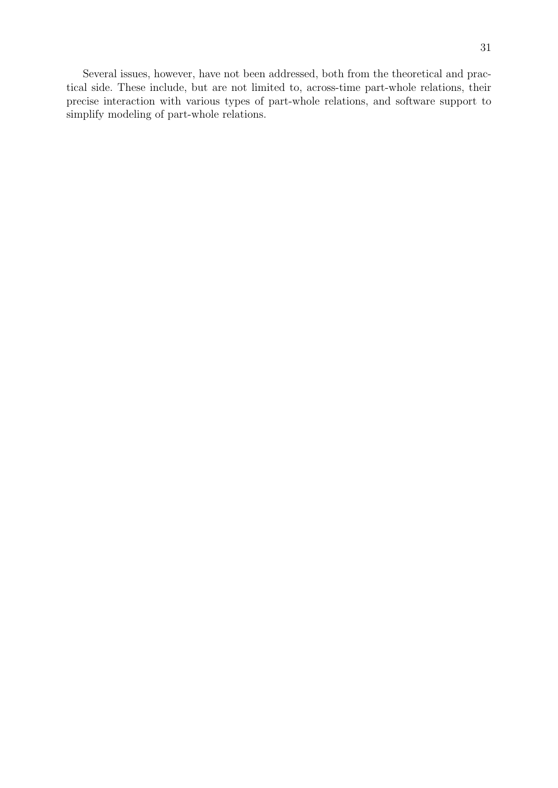Several issues, however, have not been addressed, both from the theoretical and practical side. These include, but are not limited to, across-time part-whole relations, their precise interaction with various types of part-whole relations, and software support to simplify modeling of part-whole relations.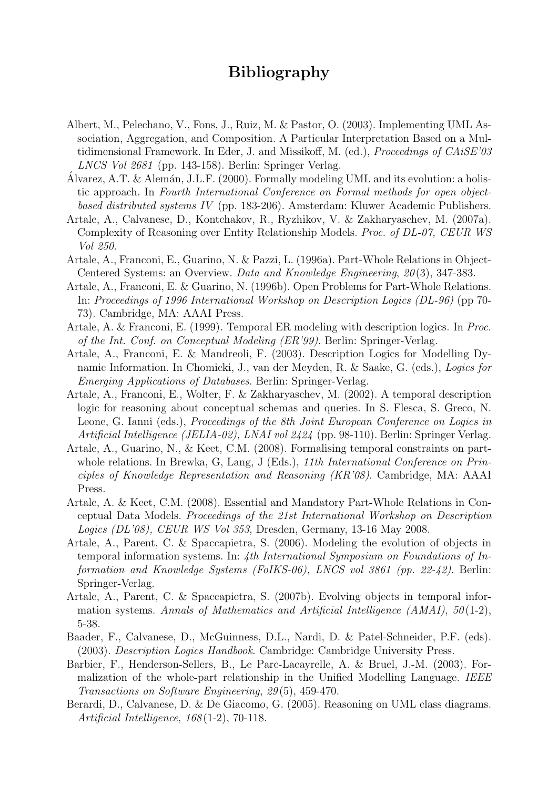# Bibliography

- Albert, M., Pelechano, V., Fons, J., Ruiz, M. & Pastor, O. (2003). Implementing UML Association, Aggregation, and Composition. A Particular Interpretation Based on a Multidimensional Framework. In Eder, J. and Missikoff, M. (ed.), Proceedings of CAiSE'03 LNCS Vol 2681 (pp. 143-158). Berlin: Springer Verlag.
- Álvarez, A.T. & Alemán, J.L.F. (2000). Formally modeling UML and its evolution: a holistic approach. In Fourth International Conference on Formal methods for open objectbased distributed systems IV (pp. 183-206). Amsterdam: Kluwer Academic Publishers.
- Artale, A., Calvanese, D., Kontchakov, R., Ryzhikov, V. & Zakharyaschev, M. (2007a). Complexity of Reasoning over Entity Relationship Models. Proc. of DL-07, CEUR WS Vol 250.
- Artale, A., Franconi, E., Guarino, N. & Pazzi, L. (1996a). Part-Whole Relations in Object-Centered Systems: an Overview. Data and Knowledge Engineering, 20 (3), 347-383.
- Artale, A., Franconi, E. & Guarino, N. (1996b). Open Problems for Part-Whole Relations. In: Proceedings of 1996 International Workshop on Description Logics (DL-96) (pp 70- 73). Cambridge, MA: AAAI Press.
- Artale, A. & Franconi, E. (1999). Temporal ER modeling with description logics. In Proc. of the Int. Conf. on Conceptual Modeling (ER'99). Berlin: Springer-Verlag.
- Artale, A., Franconi, E. & Mandreoli, F. (2003). Description Logics for Modelling Dynamic Information. In Chomicki, J., van der Meyden, R. & Saake, G. (eds.), Logics for Emerging Applications of Databases. Berlin: Springer-Verlag.
- Artale, A., Franconi, E., Wolter, F. & Zakharyaschev, M. (2002). A temporal description logic for reasoning about conceptual schemas and queries. In S. Flesca, S. Greco, N. Leone, G. Ianni (eds.), *Proceedings of the 8th Joint European Conference on Logics in* Artificial Intelligence (JELIA-02), LNAI vol 2424 (pp. 98-110). Berlin: Springer Verlag.
- Artale, A., Guarino, N., & Keet, C.M. (2008). Formalising temporal constraints on partwhole relations. In Brewka, G, Lang, J (Eds.), 11th International Conference on Principles of Knowledge Representation and Reasoning (KR'08). Cambridge, MA: AAAI Press.
- Artale, A. & Keet, C.M. (2008). Essential and Mandatory Part-Whole Relations in Conceptual Data Models. Proceedings of the 21st International Workshop on Description Logics (DL'08), CEUR WS Vol 353, Dresden, Germany, 13-16 May 2008.
- Artale, A., Parent, C. & Spaccapietra, S. (2006). Modeling the evolution of objects in temporal information systems. In: 4th International Symposium on Foundations of Information and Knowledge Systems (FoIKS-06), LNCS vol 3861 (pp. 22-42). Berlin: Springer-Verlag.
- Artale, A., Parent, C. & Spaccapietra, S. (2007b). Evolving objects in temporal information systems. Annals of Mathematics and Artificial Intelligence  $(AMAI)$ , 50(1-2), 5-38.
- Baader, F., Calvanese, D., McGuinness, D.L., Nardi, D. & Patel-Schneider, P.F. (eds). (2003). Description Logics Handbook. Cambridge: Cambridge University Press.
- Barbier, F., Henderson-Sellers, B., Le Parc-Lacayrelle, A. & Bruel, J.-M. (2003). Formalization of the whole-part relationship in the Unified Modelling Language. IEEE Transactions on Software Engineering, 29 (5), 459-470.
- Berardi, D., Calvanese, D. & De Giacomo, G. (2005). Reasoning on UML class diagrams. Artificial Intelligence, 168(1-2), 70-118.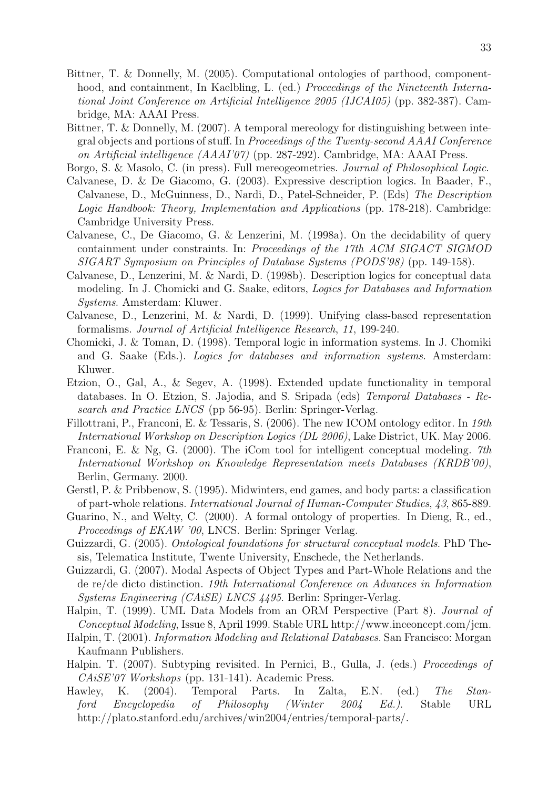- Bittner, T. & Donnelly, M. (2005). Computational ontologies of parthood, componenthood, and containment, In Kaelbling, L. (ed.) Proceedings of the Nineteenth International Joint Conference on Artificial Intelligence 2005 (IJCAI05) (pp. 382-387). Cambridge, MA: AAAI Press.
- Bittner, T. & Donnelly, M. (2007). A temporal mereology for distinguishing between integral objects and portions of stuff. In Proceedings of the Twenty-second AAAI Conference on Artificial intelligence (AAAI'07) (pp. 287-292). Cambridge, MA: AAAI Press.

Borgo, S. & Masolo, C. (in press). Full mereogeometries. Journal of Philosophical Logic.

- Calvanese, D. & De Giacomo, G. (2003). Expressive description logics. In Baader, F., Calvanese, D., McGuinness, D., Nardi, D., Patel-Schneider, P. (Eds) The Description Logic Handbook: Theory, Implementation and Applications (pp. 178-218). Cambridge: Cambridge University Press.
- Calvanese, C., De Giacomo, G. & Lenzerini, M. (1998a). On the decidability of query containment under constraints. In: Proceedings of the 17th ACM SIGACT SIGMOD SIGART Symposium on Principles of Database Systems (PODS'98) (pp. 149-158).
- Calvanese, D., Lenzerini, M. & Nardi, D. (1998b). Description logics for conceptual data modeling. In J. Chomicki and G. Saake, editors, Logics for Databases and Information Systems. Amsterdam: Kluwer.
- Calvanese, D., Lenzerini, M. & Nardi, D. (1999). Unifying class-based representation formalisms. Journal of Artificial Intelligence Research, 11, 199-240.
- Chomicki, J. & Toman, D. (1998). Temporal logic in information systems. In J. Chomiki and G. Saake (Eds.). Logics for databases and information systems. Amsterdam: Kluwer.
- Etzion, O., Gal, A., & Segev, A. (1998). Extended update functionality in temporal databases. In O. Etzion, S. Jajodia, and S. Sripada (eds) Temporal Databases - Research and Practice LNCS (pp 56-95). Berlin: Springer-Verlag.
- Fillottrani, P., Franconi, E. & Tessaris, S. (2006). The new ICOM ontology editor. In 19th International Workshop on Description Logics (DL 2006), Lake District, UK. May 2006.
- Franconi, E. & Ng, G. (2000). The iCom tool for intelligent conceptual modeling. 7th International Workshop on Knowledge Representation meets Databases (KRDB'00), Berlin, Germany. 2000.
- Gerstl, P. & Pribbenow, S. (1995). Midwinters, end games, and body parts: a classification of part-whole relations. International Journal of Human-Computer Studies, 43, 865-889.
- Guarino, N., and Welty, C. (2000). A formal ontology of properties. In Dieng, R., ed., Proceedings of EKAW '00, LNCS. Berlin: Springer Verlag.
- Guizzardi, G. (2005). Ontological foundations for structural conceptual models. PhD Thesis, Telematica Institute, Twente University, Enschede, the Netherlands.
- Guizzardi, G. (2007). Modal Aspects of Object Types and Part-Whole Relations and the de re/de dicto distinction. 19th International Conference on Advances in Information Systems Engineering (CAiSE) LNCS 4495. Berlin: Springer-Verlag.
- Halpin, T. (1999). UML Data Models from an ORM Perspective (Part 8). Journal of Conceptual Modeling, Issue 8, April 1999. Stable URL http://www.inceoncept.com/jcm.
- Halpin, T. (2001). Information Modeling and Relational Databases. San Francisco: Morgan Kaufmann Publishers.
- Halpin. T. (2007). Subtyping revisited. In Pernici, B., Gulla, J. (eds.) Proceedings of CAiSE'07 Workshops (pp. 131-141). Academic Press.
- Hawley, K. (2004). Temporal Parts. In Zalta, E.N. (ed.) The Stanford Encyclopedia of Philosophy (Winter 2004 Ed.). Stable URL http://plato.stanford.edu/archives/win2004/entries/temporal-parts/.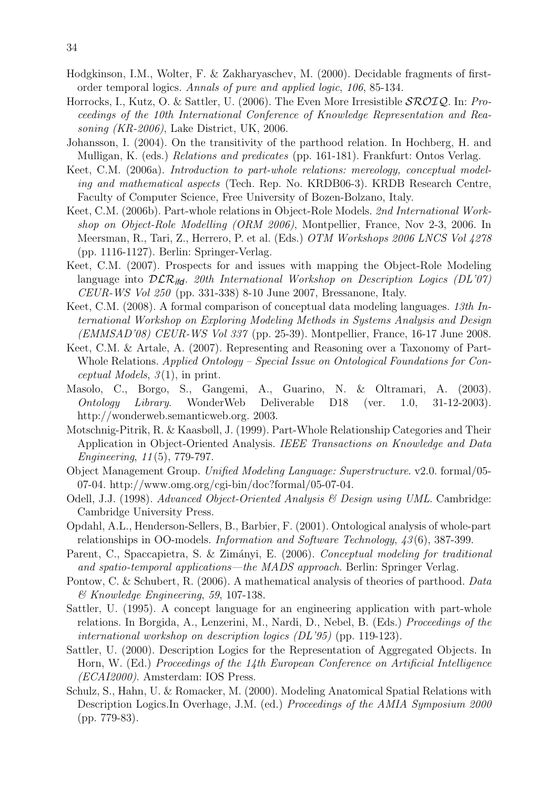- Hodgkinson, I.M., Wolter, F. & Zakharyaschev, M. (2000). Decidable fragments of firstorder temporal logics. Annals of pure and applied logic, 106, 85-134.
- Horrocks, I., Kutz, O. & Sattler, U. (2006). The Even More Irresistible  $\mathcal{SROIQ}$ . In: Proceedings of the 10th International Conference of Knowledge Representation and Reasoning (KR-2006), Lake District, UK, 2006.
- Johansson, I. (2004). On the transitivity of the parthood relation. In Hochberg, H. and Mulligan, K. (eds.) Relations and predicates (pp. 161-181). Frankfurt: Ontos Verlag.
- Keet, C.M. (2006a). Introduction to part-whole relations: mereology, conceptual modeling and mathematical aspects (Tech. Rep. No. KRDB06-3). KRDB Research Centre, Faculty of Computer Science, Free University of Bozen-Bolzano, Italy.
- Keet, C.M. (2006b). Part-whole relations in Object-Role Models. 2nd International Workshop on Object-Role Modelling (ORM 2006), Montpellier, France, Nov 2-3, 2006. In Meersman, R., Tari, Z., Herrero, P. et al. (Eds.) OTM Workshops 2006 LNCS Vol 4278 (pp. 1116-1127). Berlin: Springer-Verlag.
- Keet, C.M. (2007). Prospects for and issues with mapping the Object-Role Modeling language into  $\mathcal{DLR}_{\text{ifd}}$ . 20th International Workshop on Description Logics (DL'07) CEUR-WS Vol 250 (pp. 331-338) 8-10 June 2007, Bressanone, Italy.
- Keet, C.M. (2008). A formal comparison of conceptual data modeling languages. 13th International Workshop on Exploring Modeling Methods in Systems Analysis and Design (EMMSAD'08) CEUR-WS Vol 337 (pp. 25-39). Montpellier, France, 16-17 June 2008.
- Keet, C.M. & Artale, A. (2007). Representing and Reasoning over a Taxonomy of Part-Whole Relations. Applied Ontology – Special Issue on Ontological Foundations for Conceptual Models,  $3(1)$ , in print.
- Masolo, C., Borgo, S., Gangemi, A., Guarino, N. & Oltramari, A. (2003). Ontology Library. WonderWeb Deliverable D18 (ver. 1.0, 31-12-2003). http://wonderweb.semanticweb.org. 2003.
- Motschnig-Pitrik, R. & Kaasbøll, J. (1999). Part-Whole Relationship Categories and Their Application in Object-Oriented Analysis. IEEE Transactions on Knowledge and Data Engineering, 11 (5), 779-797.
- Object Management Group. Unified Modeling Language: Superstructure. v2.0. formal/05- 07-04. http://www.omg.org/cgi-bin/doc?formal/05-07-04.
- Odell, J.J. (1998). Advanced Object-Oriented Analysis & Design using UML. Cambridge: Cambridge University Press.
- Opdahl, A.L., Henderson-Sellers, B., Barbier, F. (2001). Ontological analysis of whole-part relationships in OO-models. Information and Software Technology, 43 (6), 387-399.
- Parent, C., Spaccapietra, S. & Zimányi, E. (2006). Conceptual modeling for traditional and spatio-temporal applications—the MADS approach. Berlin: Springer Verlag.
- Pontow, C. & Schubert, R. (2006). A mathematical analysis of theories of parthood. Data & Knowledge Engineering, 59, 107-138.
- Sattler, U. (1995). A concept language for an engineering application with part-whole relations. In Borgida, A., Lenzerini, M., Nardi, D., Nebel, B. (Eds.) Proceedings of the international workshop on description logics (DL'95) (pp. 119-123).
- Sattler, U. (2000). Description Logics for the Representation of Aggregated Objects. In Horn, W. (Ed.) Proceedings of the 14th European Conference on Artificial Intelligence (ECAI2000). Amsterdam: IOS Press.
- Schulz, S., Hahn, U. & Romacker, M. (2000). Modeling Anatomical Spatial Relations with Description Logics.In Overhage, J.M. (ed.) Proceedings of the AMIA Symposium 2000 (pp. 779-83).